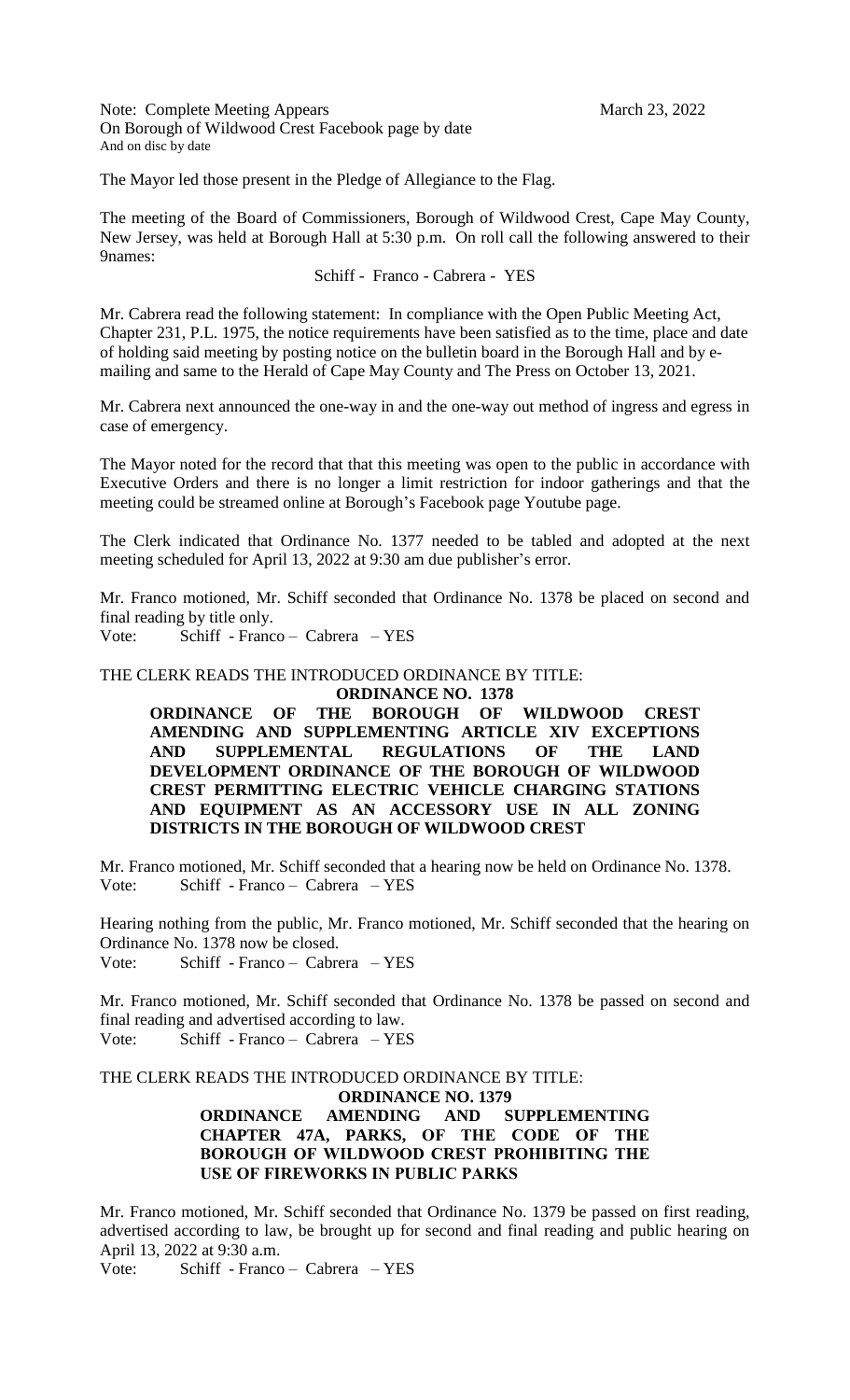Note: Complete Meeting Appears March 23, 2022 On Borough of Wildwood Crest Facebook page by date And on disc by date

The Mayor led those present in the Pledge of Allegiance to the Flag.

The meeting of the Board of Commissioners, Borough of Wildwood Crest, Cape May County, New Jersey, was held at Borough Hall at 5:30 p.m. On roll call the following answered to their 9names:

### Schiff - Franco - Cabrera - YES

Mr. Cabrera read the following statement: In compliance with the Open Public Meeting Act, Chapter 231, P.L. 1975, the notice requirements have been satisfied as to the time, place and date of holding said meeting by posting notice on the bulletin board in the Borough Hall and by emailing and same to the Herald of Cape May County and The Press on October 13, 2021.

Mr. Cabrera next announced the one-way in and the one-way out method of ingress and egress in case of emergency.

The Mayor noted for the record that that this meeting was open to the public in accordance with Executive Orders and there is no longer a limit restriction for indoor gatherings and that the meeting could be streamed online at Borough's Facebook page Youtube page.

The Clerk indicated that Ordinance No. 1377 needed to be tabled and adopted at the next meeting scheduled for April 13, 2022 at 9:30 am due publisher's error.

Mr. Franco motioned, Mr. Schiff seconded that Ordinance No. 1378 be placed on second and final reading by title only.

Vote: Schiff - Franco – Cabrera – YES

# THE CLERK READS THE INTRODUCED ORDINANCE BY TITLE:

**ORDINANCE NO. 1378**

**ORDINANCE OF THE BOROUGH OF WILDWOOD CREST AMENDING AND SUPPLEMENTING ARTICLE XIV EXCEPTIONS AND SUPPLEMENTAL REGULATIONS OF THE LAND DEVELOPMENT ORDINANCE OF THE BOROUGH OF WILDWOOD CREST PERMITTING ELECTRIC VEHICLE CHARGING STATIONS AND EQUIPMENT AS AN ACCESSORY USE IN ALL ZONING DISTRICTS IN THE BOROUGH OF WILDWOOD CREST**

Mr. Franco motioned, Mr. Schiff seconded that a hearing now be held on Ordinance No. 1378. Vote: Schiff - Franco – Cabrera – YES

Hearing nothing from the public, Mr. Franco motioned, Mr. Schiff seconded that the hearing on Ordinance No. 1378 now be closed.

Vote: Schiff - Franco – Cabrera – YES

Mr. Franco motioned, Mr. Schiff seconded that Ordinance No. 1378 be passed on second and final reading and advertised according to law. Vote: Schiff - Franco – Cabrera – YES

THE CLERK READS THE INTRODUCED ORDINANCE BY TITLE:

**ORDINANCE NO. 1379**

# **ORDINANCE AMENDING AND SUPPLEMENTING CHAPTER 47A, PARKS, OF THE CODE OF THE BOROUGH OF WILDWOOD CREST PROHIBITING THE USE OF FIREWORKS IN PUBLIC PARKS**

Mr. Franco motioned, Mr. Schiff seconded that Ordinance No. 1379 be passed on first reading, advertised according to law, be brought up for second and final reading and public hearing on April 13, 2022 at 9:30 a.m.

Vote: Schiff - Franco – Cabrera – YES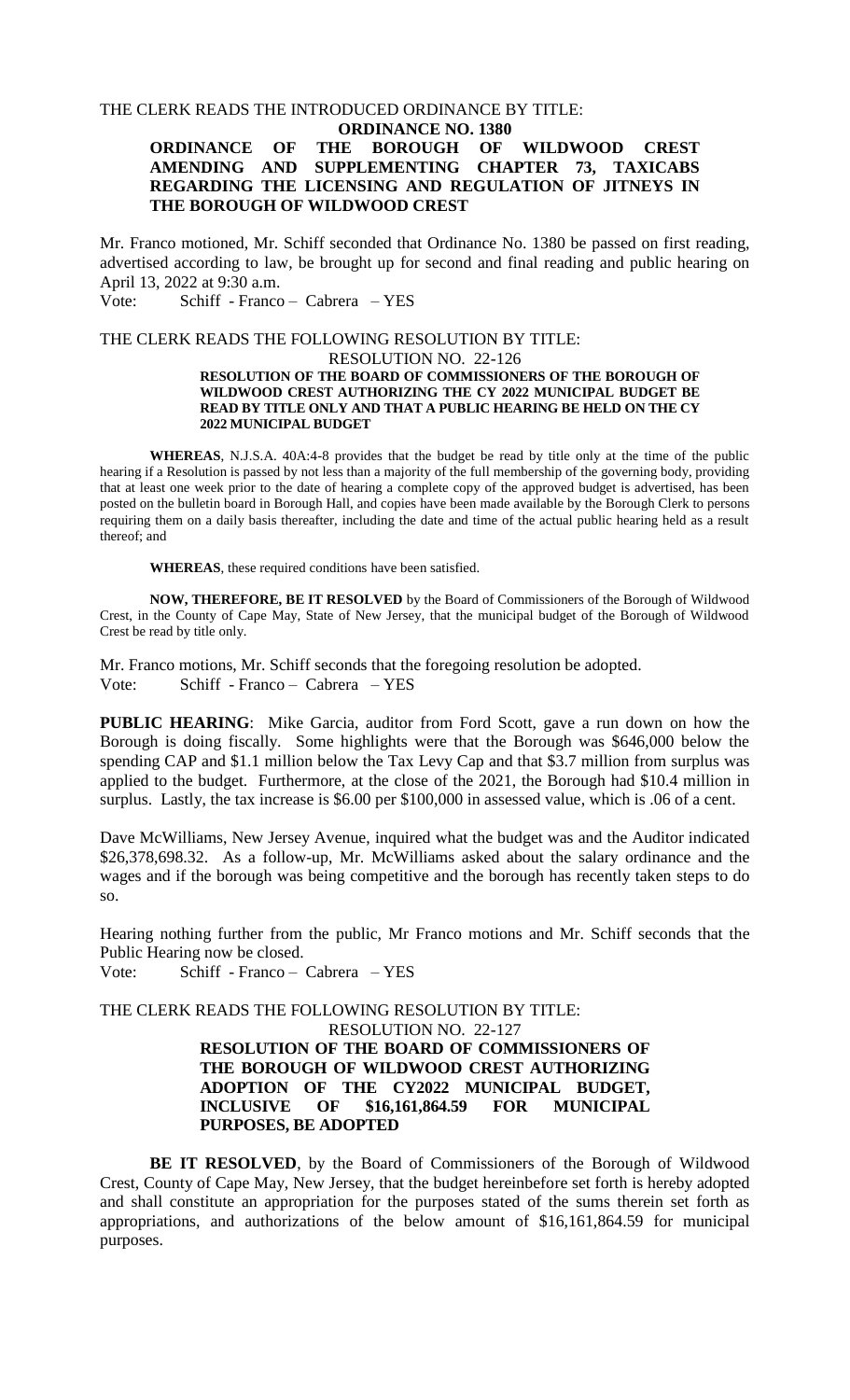### THE CLERK READS THE INTRODUCED ORDINANCE BY TITLE:

# **ORDINANCE NO. 1380**

# **ORDINANCE OF THE BOROUGH OF WILDWOOD CREST AMENDING AND SUPPLEMENTING CHAPTER 73, TAXICABS REGARDING THE LICENSING AND REGULATION OF JITNEYS IN THE BOROUGH OF WILDWOOD CREST**

Mr. Franco motioned, Mr. Schiff seconded that Ordinance No. 1380 be passed on first reading, advertised according to law, be brought up for second and final reading and public hearing on April 13, 2022 at 9:30 a.m.

Vote: Schiff - Franco – Cabrera – YES

### THE CLERK READS THE FOLLOWING RESOLUTION BY TITLE:

### RESOLUTION NO. 22-126

#### **RESOLUTION OF THE BOARD OF COMMISSIONERS OF THE BOROUGH OF WILDWOOD CREST AUTHORIZING THE CY 2022 MUNICIPAL BUDGET BE READ BY TITLE ONLY AND THAT A PUBLIC HEARING BE HELD ON THE CY 2022 MUNICIPAL BUDGET**

**WHEREAS**, N.J.S.A. 40A:4-8 provides that the budget be read by title only at the time of the public hearing if a Resolution is passed by not less than a majority of the full membership of the governing body, providing that at least one week prior to the date of hearing a complete copy of the approved budget is advertised, has been posted on the bulletin board in Borough Hall, and copies have been made available by the Borough Clerk to persons requiring them on a daily basis thereafter, including the date and time of the actual public hearing held as a result thereof; and

**WHEREAS**, these required conditions have been satisfied.

**NOW, THEREFORE, BE IT RESOLVED** by the Board of Commissioners of the Borough of Wildwood Crest, in the County of Cape May, State of New Jersey, that the municipal budget of the Borough of Wildwood Crest be read by title only.

Mr. Franco motions, Mr. Schiff seconds that the foregoing resolution be adopted. Vote: Schiff - Franco – Cabrera – YES

**PUBLIC HEARING**: Mike Garcia, auditor from Ford Scott, gave a run down on how the Borough is doing fiscally. Some highlights were that the Borough was \$646,000 below the spending CAP and \$1.1 million below the Tax Levy Cap and that \$3.7 million from surplus was applied to the budget. Furthermore, at the close of the 2021, the Borough had \$10.4 million in surplus. Lastly, the tax increase is \$6.00 per \$100,000 in assessed value, which is .06 of a cent.

Dave McWilliams, New Jersey Avenue, inquired what the budget was and the Auditor indicated \$26,378,698.32. As a follow-up, Mr. McWilliams asked about the salary ordinance and the wages and if the borough was being competitive and the borough has recently taken steps to do so.

Hearing nothing further from the public, Mr Franco motions and Mr. Schiff seconds that the Public Hearing now be closed.

Vote: Schiff - Franco – Cabrera – YES

THE CLERK READS THE FOLLOWING RESOLUTION BY TITLE:

# RESOLUTION NO. 22-127 **RESOLUTION OF THE BOARD OF COMMISSIONERS OF THE BOROUGH OF WILDWOOD CREST AUTHORIZING ADOPTION OF THE CY2022 MUNICIPAL BUDGET, INCLUSIVE OF \$16,161,864.59 FOR MUNICIPAL PURPOSES, BE ADOPTED**

**BE IT RESOLVED**, by the Board of Commissioners of the Borough of Wildwood Crest, County of Cape May, New Jersey, that the budget hereinbefore set forth is hereby adopted and shall constitute an appropriation for the purposes stated of the sums therein set forth as appropriations, and authorizations of the below amount of \$16,161,864.59 for municipal purposes.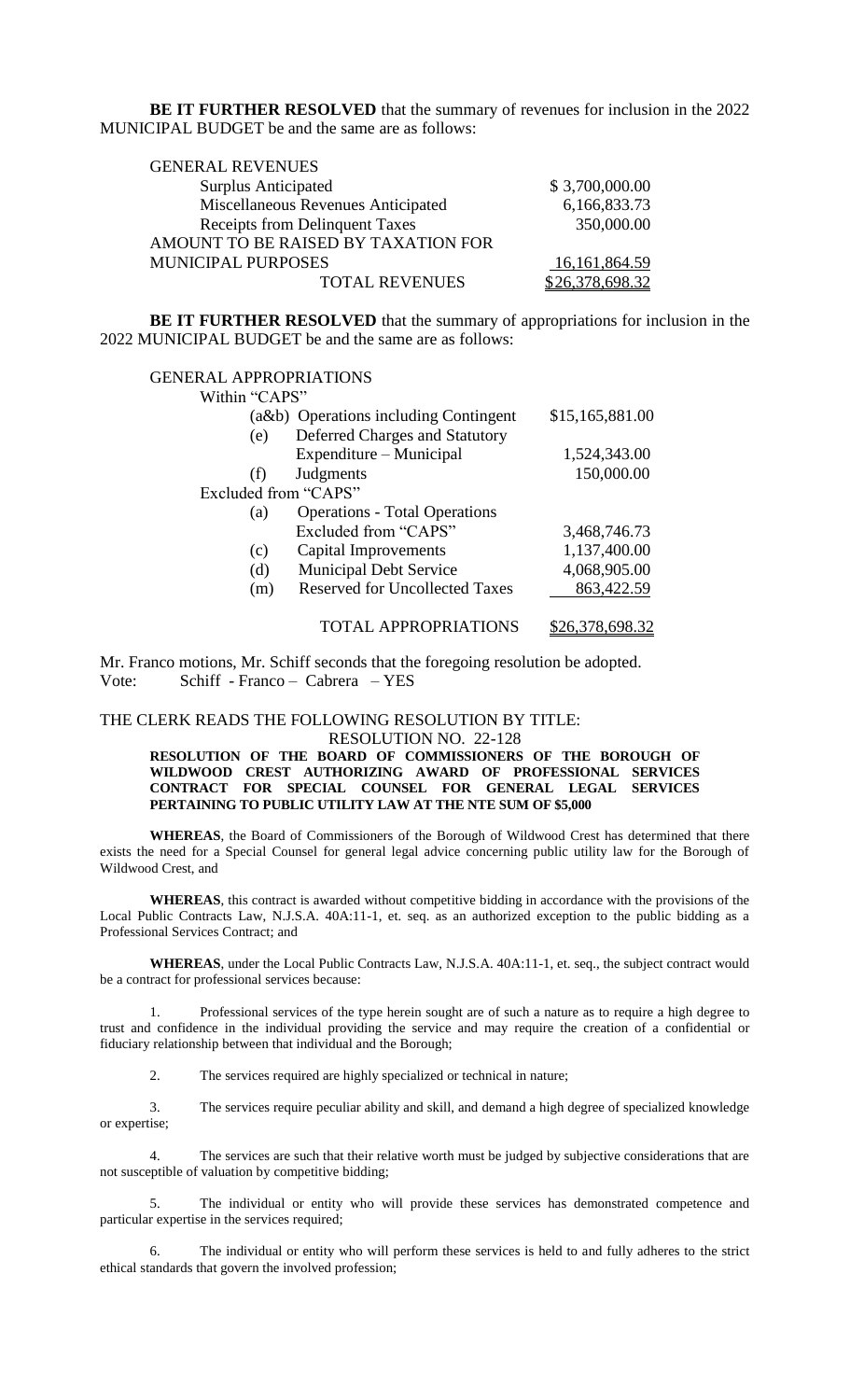**BE IT FURTHER RESOLVED** that the summary of revenues for inclusion in the 2022 MUNICIPAL BUDGET be and the same are as follows:

| <b>GENERAL REVENUES</b>               |                  |
|---------------------------------------|------------------|
| <b>Surplus Anticipated</b>            | \$3,700,000.00   |
| Miscellaneous Revenues Anticipated    | 6,166,833.73     |
| <b>Receipts from Delinquent Taxes</b> | 350,000.00       |
| AMOUNT TO BE RAISED BY TAXATION FOR   |                  |
| <b>MUNICIPAL PURPOSES</b>             | 16, 161, 864. 59 |
| <b>TOTAL REVENUES</b>                 | \$26,378,698.32  |

**BE IT FURTHER RESOLVED** that the summary of appropriations for inclusion in the 2022 MUNICIPAL BUDGET be and the same are as follows:

| <b>GENERAL APPROPRIATIONS</b> |                                       |                 |
|-------------------------------|---------------------------------------|-----------------|
| Within "CAPS"                 |                                       |                 |
|                               | (a&b) Operations including Contingent | \$15,165,881.00 |
| (e)                           | Deferred Charges and Statutory        |                 |
|                               | Expenditure – Municipal               | 1,524,343.00    |
| (f)                           | Judgments                             | 150,000.00      |
| Excluded from "CAPS"          |                                       |                 |
| (a)                           | <b>Operations - Total Operations</b>  |                 |
|                               | Excluded from "CAPS"                  | 3,468,746.73    |
| (c)                           | Capital Improvements                  | 1,137,400.00    |
| (d)                           | <b>Municipal Debt Service</b>         | 4,068,905.00    |
| (m)                           | <b>Reserved for Uncollected Taxes</b> | 863,422.59      |
|                               | <b>TOTAL APPROPRIATIONS</b>           | \$26,378,698.32 |

Mr. Franco motions, Mr. Schiff seconds that the foregoing resolution be adopted. Vote: Schiff - Franco – Cabrera – YES

### THE CLERK READS THE FOLLOWING RESOLUTION BY TITLE: RESOLUTION NO. 22-128

**RESOLUTION OF THE BOARD OF COMMISSIONERS OF THE BOROUGH OF WILDWOOD CREST AUTHORIZING AWARD OF PROFESSIONAL SERVICES CONTRACT FOR SPECIAL COUNSEL FOR GENERAL LEGAL SERVICES PERTAINING TO PUBLIC UTILITY LAW AT THE NTE SUM OF \$5,000**

**WHEREAS**, the Board of Commissioners of the Borough of Wildwood Crest has determined that there exists the need for a Special Counsel for general legal advice concerning public utility law for the Borough of Wildwood Crest, and

**WHEREAS**, this contract is awarded without competitive bidding in accordance with the provisions of the Local Public Contracts Law, N.J.S.A. 40A:11-1, et. seq. as an authorized exception to the public bidding as a Professional Services Contract; and

**WHEREAS**, under the Local Public Contracts Law, N.J.S.A. 40A:11-1, et. seq., the subject contract would be a contract for professional services because:

1. Professional services of the type herein sought are of such a nature as to require a high degree to trust and confidence in the individual providing the service and may require the creation of a confidential or fiduciary relationship between that individual and the Borough;

2. The services required are highly specialized or technical in nature;

3. The services require peculiar ability and skill, and demand a high degree of specialized knowledge or expertise;

4. The services are such that their relative worth must be judged by subjective considerations that are not susceptible of valuation by competitive bidding;

5. The individual or entity who will provide these services has demonstrated competence and particular expertise in the services required;

6. The individual or entity who will perform these services is held to and fully adheres to the strict ethical standards that govern the involved profession;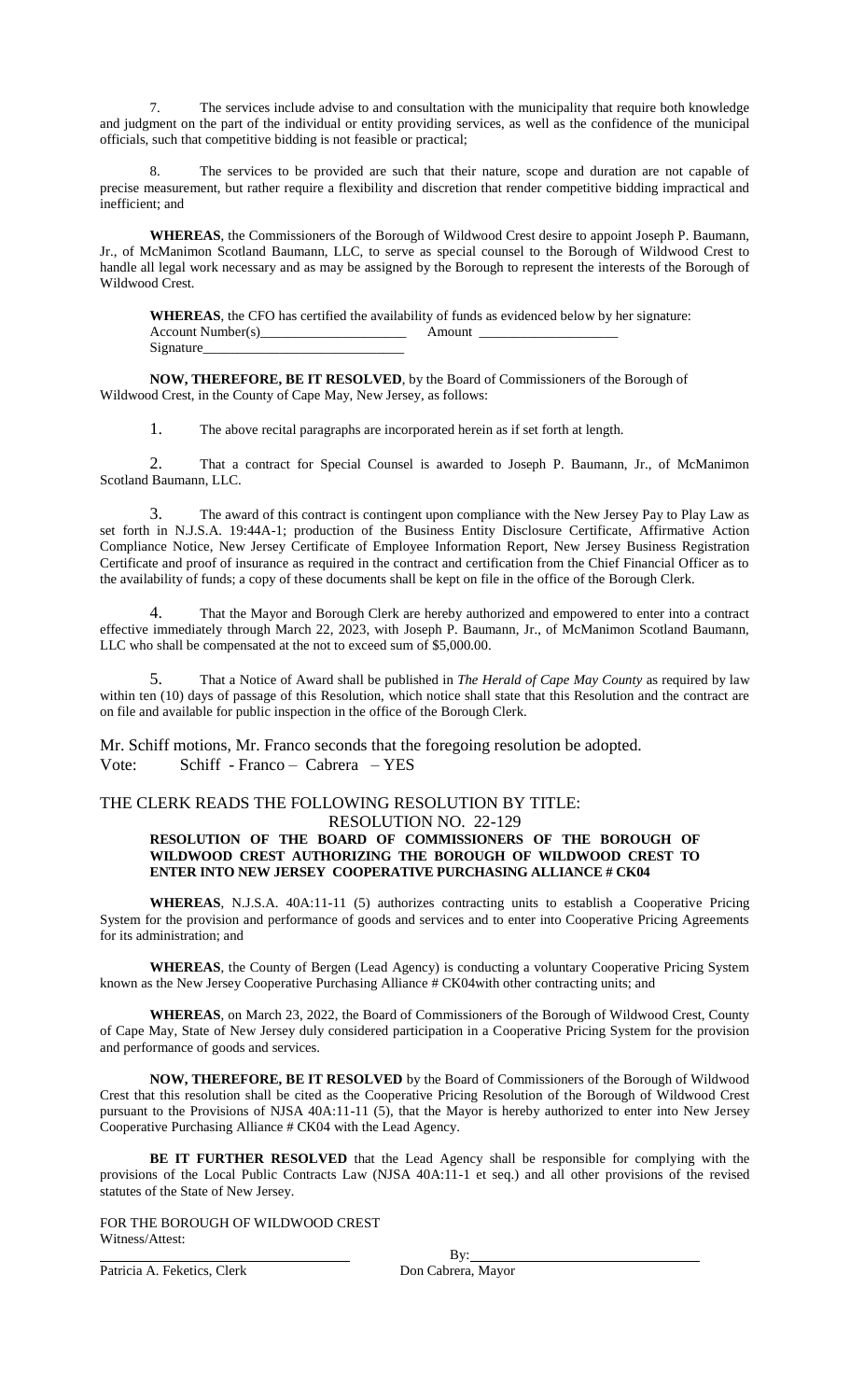7. The services include advise to and consultation with the municipality that require both knowledge and judgment on the part of the individual or entity providing services, as well as the confidence of the municipal officials, such that competitive bidding is not feasible or practical;

8. The services to be provided are such that their nature, scope and duration are not capable of precise measurement, but rather require a flexibility and discretion that render competitive bidding impractical and inefficient; and

**WHEREAS**, the Commissioners of the Borough of Wildwood Crest desire to appoint Joseph P. Baumann, Jr., of McManimon Scotland Baumann, LLC, to serve as special counsel to the Borough of Wildwood Crest to handle all legal work necessary and as may be assigned by the Borough to represent the interests of the Borough of Wildwood Crest.

**WHEREAS**, the CFO has certified the availability of funds as evidenced below by her signature: Account Number(s)\_\_\_\_\_\_\_\_\_\_\_\_\_\_\_\_\_\_\_\_\_ Amount \_\_\_\_\_\_\_\_\_\_\_\_\_\_\_\_\_\_\_\_ Signature\_

**NOW, THEREFORE, BE IT RESOLVED**, by the Board of Commissioners of the Borough of Wildwood Crest, in the County of Cape May, New Jersey, as follows:

1. The above recital paragraphs are incorporated herein as if set forth at length.

2. That a contract for Special Counsel is awarded to Joseph P. Baumann, Jr., of McManimon Scotland Baumann, LLC.

The award of this contract is contingent upon compliance with the New Jersey Pay to Play Law as set forth in N.J.S.A. 19:44A-1; production of the Business Entity Disclosure Certificate, Affirmative Action Compliance Notice, New Jersey Certificate of Employee Information Report, New Jersey Business Registration Certificate and proof of insurance as required in the contract and certification from the Chief Financial Officer as to the availability of funds; a copy of these documents shall be kept on file in the office of the Borough Clerk.

4. That the Mayor and Borough Clerk are hereby authorized and empowered to enter into a contract effective immediately through March 22, 2023, with Joseph P. Baumann, Jr., of McManimon Scotland Baumann, LLC who shall be compensated at the not to exceed sum of \$5,000.00.

5. That a Notice of Award shall be published in *The Herald of Cape May County* as required by law within ten (10) days of passage of this Resolution, which notice shall state that this Resolution and the contract are on file and available for public inspection in the office of the Borough Clerk.

Mr. Schiff motions, Mr. Franco seconds that the foregoing resolution be adopted. Vote: Schiff - Franco – Cabrera – YES

### THE CLERK READS THE FOLLOWING RESOLUTION BY TITLE:

#### RESOLUTION NO. 22-129 **RESOLUTION OF THE BOARD OF COMMISSIONERS OF THE BOROUGH OF WILDWOOD CREST AUTHORIZING THE BOROUGH OF WILDWOOD CREST TO ENTER INTO NEW JERSEY COOPERATIVE PURCHASING ALLIANCE # CK04**

**WHEREAS**, N.J.S.A. 40A:11-11 (5) authorizes contracting units to establish a Cooperative Pricing System for the provision and performance of goods and services and to enter into Cooperative Pricing Agreements for its administration; and

**WHEREAS**, the County of Bergen (Lead Agency) is conducting a voluntary Cooperative Pricing System known as the New Jersey Cooperative Purchasing Alliance # CK04with other contracting units; and

**WHEREAS**, on March 23, 2022, the Board of Commissioners of the Borough of Wildwood Crest, County of Cape May, State of New Jersey duly considered participation in a Cooperative Pricing System for the provision and performance of goods and services.

**NOW, THEREFORE, BE IT RESOLVED** by the Board of Commissioners of the Borough of Wildwood Crest that this resolution shall be cited as the Cooperative Pricing Resolution of the Borough of Wildwood Crest pursuant to the Provisions of NJSA 40A:11-11 (5), that the Mayor is hereby authorized to enter into New Jersey Cooperative Purchasing Alliance # CK04 with the Lead Agency.

**BE IT FURTHER RESOLVED** that the Lead Agency shall be responsible for complying with the provisions of the Local Public Contracts Law (NJSA 40A:11-1 et seq.) and all other provisions of the revised statutes of the State of New Jersey.

FOR THE BOROUGH OF WILDWOOD CREST Witness/Attest:

Patricia A. Feketics, Clerk

By:<br>Don Cabrera, Mayor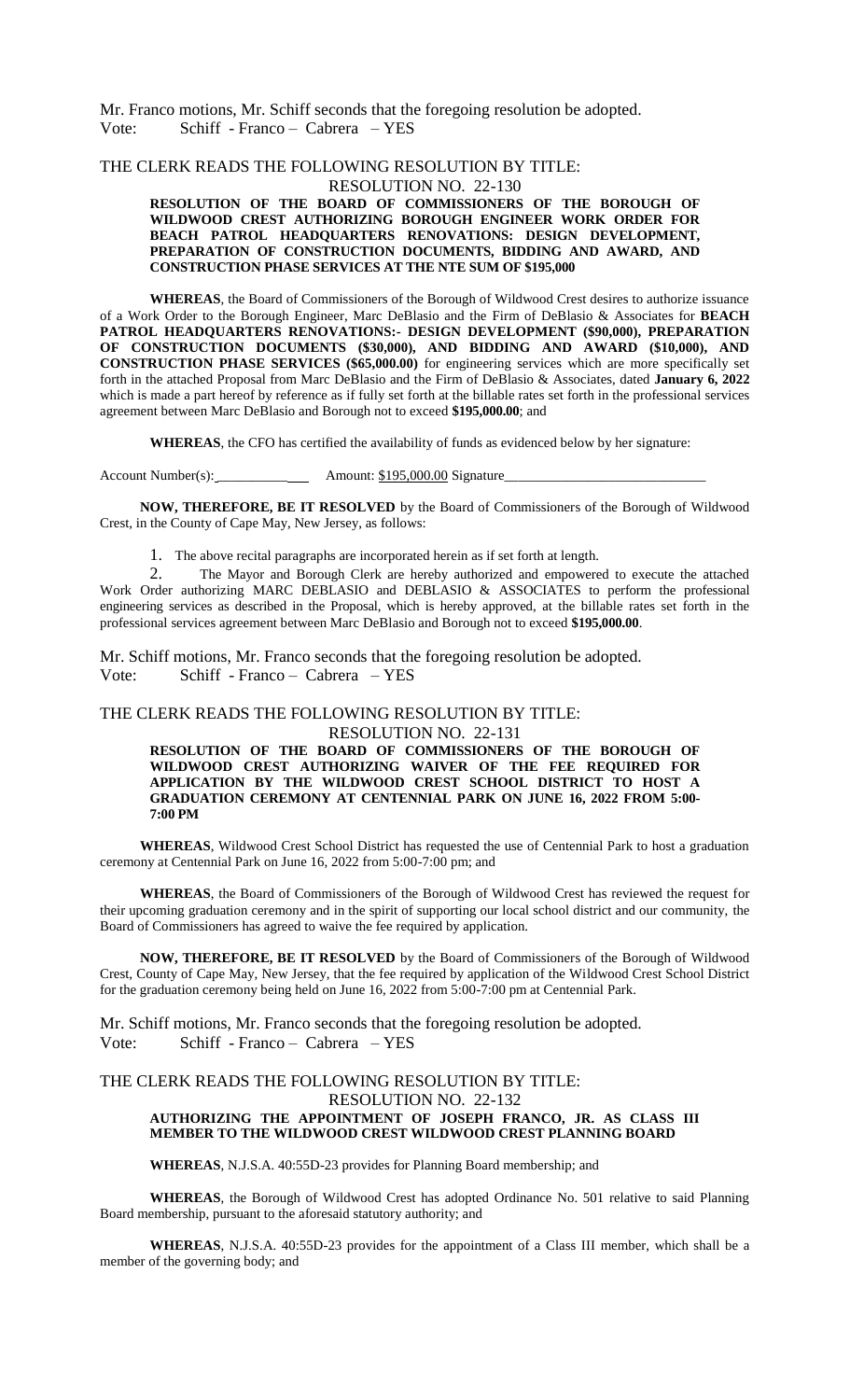Mr. Franco motions, Mr. Schiff seconds that the foregoing resolution be adopted. Vote: Schiff - Franco – Cabrera – YES

# THE CLERK READS THE FOLLOWING RESOLUTION BY TITLE:

RESOLUTION NO. 22-130 **RESOLUTION OF THE BOARD OF COMMISSIONERS OF THE BOROUGH OF WILDWOOD CREST AUTHORIZING BOROUGH ENGINEER WORK ORDER FOR BEACH PATROL HEADQUARTERS RENOVATIONS: DESIGN DEVELOPMENT, PREPARATION OF CONSTRUCTION DOCUMENTS, BIDDING AND AWARD, AND CONSTRUCTION PHASE SERVICES AT THE NTE SUM OF \$195,000**

**WHEREAS**, the Board of Commissioners of the Borough of Wildwood Crest desires to authorize issuance of a Work Order to the Borough Engineer, Marc DeBlasio and the Firm of DeBlasio & Associates for **BEACH PATROL HEADQUARTERS RENOVATIONS:- DESIGN DEVELOPMENT (\$90,000), PREPARATION OF CONSTRUCTION DOCUMENTS (\$30,000), AND BIDDING AND AWARD (\$10,000), AND CONSTRUCTION PHASE SERVICES (\$65,000.00)** for engineering services which are more specifically set forth in the attached Proposal from Marc DeBlasio and the Firm of DeBlasio & Associates, dated **January 6, 2022** which is made a part hereof by reference as if fully set forth at the billable rates set forth in the professional services agreement between Marc DeBlasio and Borough not to exceed **\$195,000.00**; and

**WHEREAS**, the CFO has certified the availability of funds as evidenced below by her signature:

Account Number(s): \_\_\_\_\_\_\_\_\_\_ Amount: \$195,000.00 Signature\_\_\_\_\_\_\_\_\_\_\_\_\_\_\_\_\_\_\_\_\_\_\_\_\_\_\_\_\_

**NOW, THEREFORE, BE IT RESOLVED** by the Board of Commissioners of the Borough of Wildwood Crest, in the County of Cape May, New Jersey, as follows:

1. The above recital paragraphs are incorporated herein as if set forth at length.

2. The Mayor and Borough Clerk are hereby authorized and empowered to execute the attached Work Order authorizing MARC DEBLASIO and DEBLASIO & ASSOCIATES to perform the professional engineering services as described in the Proposal, which is hereby approved, at the billable rates set forth in the professional services agreement between Marc DeBlasio and Borough not to exceed **\$195,000.00**.

Mr. Schiff motions, Mr. Franco seconds that the foregoing resolution be adopted. Vote: Schiff - Franco – Cabrera – YES

#### THE CLERK READS THE FOLLOWING RESOLUTION BY TITLE:

RESOLUTION NO. 22-131

**RESOLUTION OF THE BOARD OF COMMISSIONERS OF THE BOROUGH OF WILDWOOD CREST AUTHORIZING WAIVER OF THE FEE REQUIRED FOR APPLICATION BY THE WILDWOOD CREST SCHOOL DISTRICT TO HOST A GRADUATION CEREMONY AT CENTENNIAL PARK ON JUNE 16, 2022 FROM 5:00- 7:00 PM** 

**WHEREAS**, Wildwood Crest School District has requested the use of Centennial Park to host a graduation ceremony at Centennial Park on June 16, 2022 from 5:00-7:00 pm; and

**WHEREAS**, the Board of Commissioners of the Borough of Wildwood Crest has reviewed the request for their upcoming graduation ceremony and in the spirit of supporting our local school district and our community, the Board of Commissioners has agreed to waive the fee required by application.

**NOW, THEREFORE, BE IT RESOLVED** by the Board of Commissioners of the Borough of Wildwood Crest, County of Cape May, New Jersey, that the fee required by application of the Wildwood Crest School District for the graduation ceremony being held on June 16, 2022 from 5:00-7:00 pm at Centennial Park.

Mr. Schiff motions, Mr. Franco seconds that the foregoing resolution be adopted. Vote: Schiff - Franco – Cabrera – YES

#### THE CLERK READS THE FOLLOWING RESOLUTION BY TITLE: RESOLUTION NO. 22-132 **AUTHORIZING THE APPOINTMENT OF JOSEPH FRANCO, JR. AS CLASS III MEMBER TO THE WILDWOOD CREST WILDWOOD CREST PLANNING BOARD**

**WHEREAS**, N.J.S.A. 40:55D-23 provides for Planning Board membership; and

**WHEREAS**, the Borough of Wildwood Crest has adopted Ordinance No. 501 relative to said Planning Board membership, pursuant to the aforesaid statutory authority; and

**WHEREAS**, N.J.S.A. 40:55D-23 provides for the appointment of a Class III member, which shall be a member of the governing body; and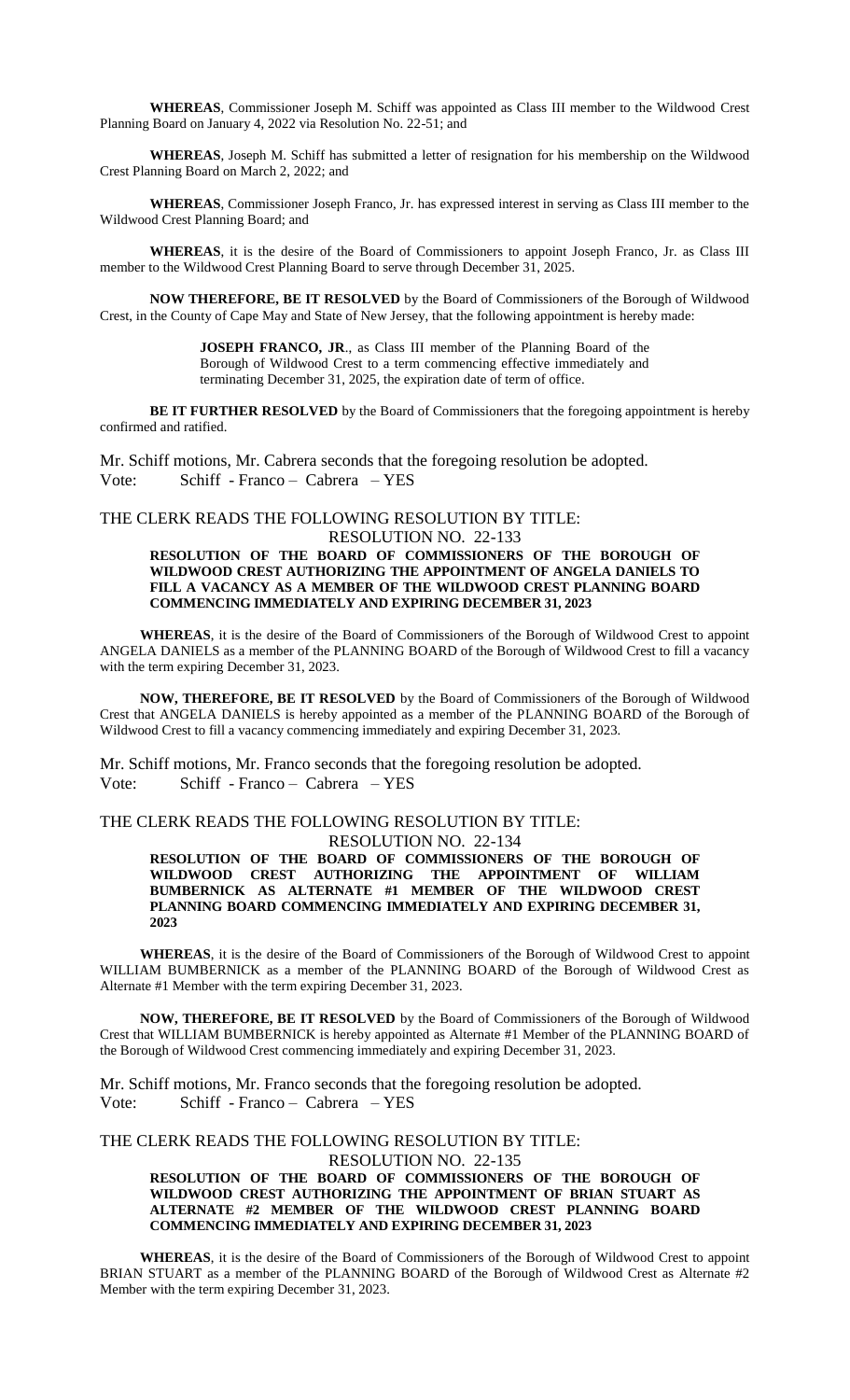**WHEREAS**, Commissioner Joseph M. Schiff was appointed as Class III member to the Wildwood Crest Planning Board on January 4, 2022 via Resolution No. 22-51; and

**WHEREAS**, Joseph M. Schiff has submitted a letter of resignation for his membership on the Wildwood Crest Planning Board on March 2, 2022; and

**WHEREAS**, Commissioner Joseph Franco, Jr. has expressed interest in serving as Class III member to the Wildwood Crest Planning Board; and

**WHEREAS**, it is the desire of the Board of Commissioners to appoint Joseph Franco, Jr. as Class III member to the Wildwood Crest Planning Board to serve through December 31, 2025.

**NOW THEREFORE, BE IT RESOLVED** by the Board of Commissioners of the Borough of Wildwood Crest, in the County of Cape May and State of New Jersey, that the following appointment is hereby made:

> **JOSEPH FRANCO, JR**., as Class III member of the Planning Board of the Borough of Wildwood Crest to a term commencing effective immediately and terminating December 31, 2025, the expiration date of term of office.

**BE IT FURTHER RESOLVED** by the Board of Commissioners that the foregoing appointment is hereby confirmed and ratified.

Mr. Schiff motions, Mr. Cabrera seconds that the foregoing resolution be adopted. Vote: Schiff - Franco – Cabrera – YES

#### THE CLERK READS THE FOLLOWING RESOLUTION BY TITLE:

RESOLUTION NO. 22-133

#### **RESOLUTION OF THE BOARD OF COMMISSIONERS OF THE BOROUGH OF WILDWOOD CREST AUTHORIZING THE APPOINTMENT OF ANGELA DANIELS TO FILL A VACANCY AS A MEMBER OF THE WILDWOOD CREST PLANNING BOARD COMMENCING IMMEDIATELY AND EXPIRING DECEMBER 31, 2023**

**WHEREAS**, it is the desire of the Board of Commissioners of the Borough of Wildwood Crest to appoint ANGELA DANIELS as a member of the PLANNING BOARD of the Borough of Wildwood Crest to fill a vacancy with the term expiring December 31, 2023.

**NOW, THEREFORE, BE IT RESOLVED** by the Board of Commissioners of the Borough of Wildwood Crest that ANGELA DANIELS is hereby appointed as a member of the PLANNING BOARD of the Borough of Wildwood Crest to fill a vacancy commencing immediately and expiring December 31, 2023.

Mr. Schiff motions, Mr. Franco seconds that the foregoing resolution be adopted. Vote: Schiff - Franco – Cabrera – YES

#### THE CLERK READS THE FOLLOWING RESOLUTION BY TITLE: RESOLUTION NO. 22-134

**RESOLUTION OF THE BOARD OF COMMISSIONERS OF THE BOROUGH OF WILDWOOD CREST AUTHORIZING THE APPOINTMENT OF WILLIAM BUMBERNICK AS ALTERNATE #1 MEMBER OF THE WILDWOOD CREST PLANNING BOARD COMMENCING IMMEDIATELY AND EXPIRING DECEMBER 31, 2023**

**WHEREAS**, it is the desire of the Board of Commissioners of the Borough of Wildwood Crest to appoint WILLIAM BUMBERNICK as a member of the PLANNING BOARD of the Borough of Wildwood Crest as Alternate #1 Member with the term expiring December 31, 2023.

**NOW, THEREFORE, BE IT RESOLVED** by the Board of Commissioners of the Borough of Wildwood Crest that WILLIAM BUMBERNICK is hereby appointed as Alternate #1 Member of the PLANNING BOARD of the Borough of Wildwood Crest commencing immediately and expiring December 31, 2023.

Mr. Schiff motions, Mr. Franco seconds that the foregoing resolution be adopted. Vote: Schiff - Franco – Cabrera – YES

### THE CLERK READS THE FOLLOWING RESOLUTION BY TITLE: RESOLUTION NO. 22-135

**RESOLUTION OF THE BOARD OF COMMISSIONERS OF THE BOROUGH OF WILDWOOD CREST AUTHORIZING THE APPOINTMENT OF BRIAN STUART AS ALTERNATE #2 MEMBER OF THE WILDWOOD CREST PLANNING BOARD COMMENCING IMMEDIATELY AND EXPIRING DECEMBER 31, 2023**

**WHEREAS**, it is the desire of the Board of Commissioners of the Borough of Wildwood Crest to appoint BRIAN STUART as a member of the PLANNING BOARD of the Borough of Wildwood Crest as Alternate #2 Member with the term expiring December 31, 2023.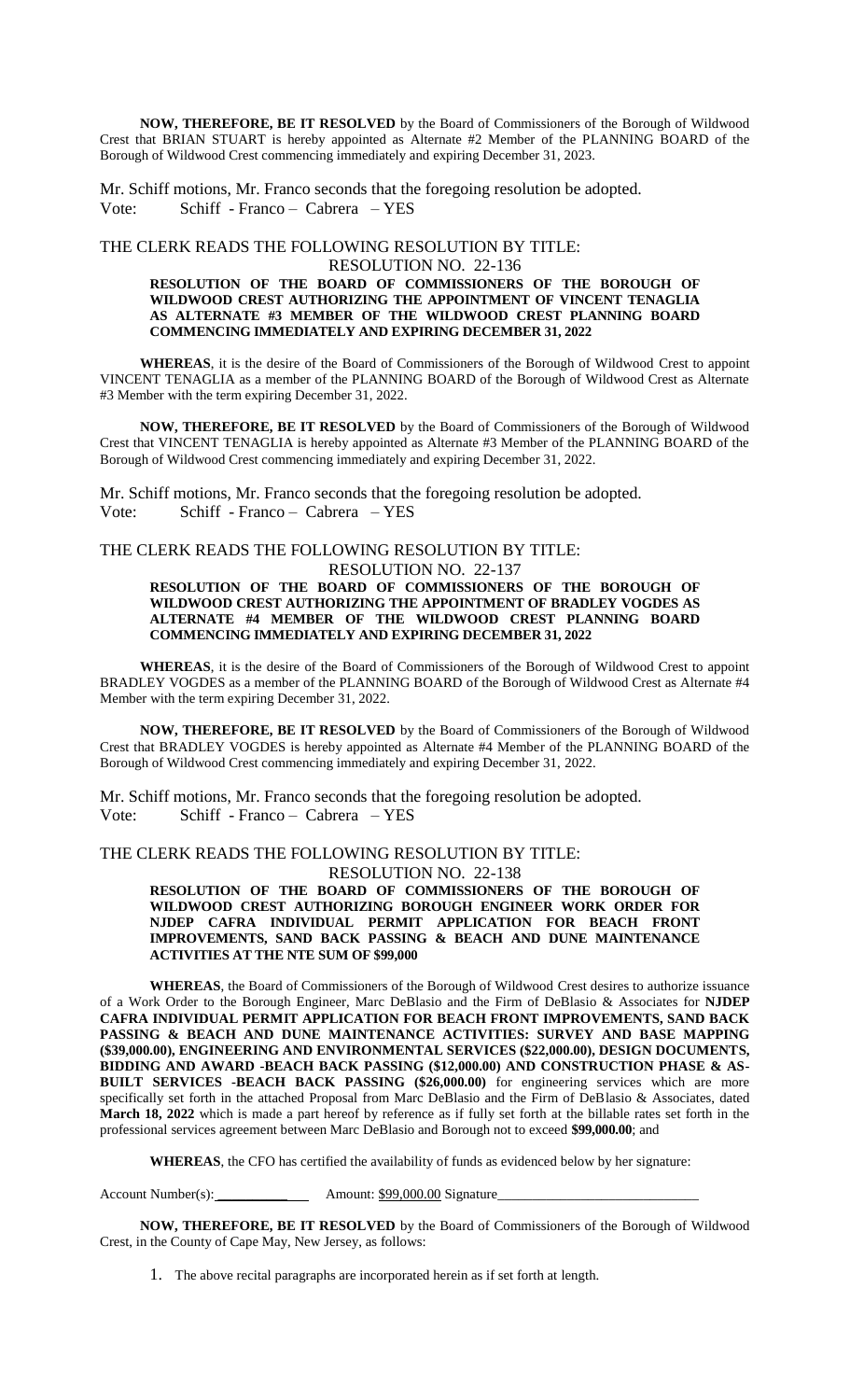**NOW, THEREFORE, BE IT RESOLVED** by the Board of Commissioners of the Borough of Wildwood Crest that BRIAN STUART is hereby appointed as Alternate #2 Member of the PLANNING BOARD of the Borough of Wildwood Crest commencing immediately and expiring December 31, 2023.

Mr. Schiff motions, Mr. Franco seconds that the foregoing resolution be adopted. Vote: Schiff - Franco – Cabrera – YES

THE CLERK READS THE FOLLOWING RESOLUTION BY TITLE:

#### RESOLUTION NO. 22-136 **RESOLUTION OF THE BOARD OF COMMISSIONERS OF THE BOROUGH OF WILDWOOD CREST AUTHORIZING THE APPOINTMENT OF VINCENT TENAGLIA AS ALTERNATE #3 MEMBER OF THE WILDWOOD CREST PLANNING BOARD COMMENCING IMMEDIATELY AND EXPIRING DECEMBER 31, 2022**

**WHEREAS**, it is the desire of the Board of Commissioners of the Borough of Wildwood Crest to appoint VINCENT TENAGLIA as a member of the PLANNING BOARD of the Borough of Wildwood Crest as Alternate #3 Member with the term expiring December 31, 2022.

**NOW, THEREFORE, BE IT RESOLVED** by the Board of Commissioners of the Borough of Wildwood Crest that VINCENT TENAGLIA is hereby appointed as Alternate #3 Member of the PLANNING BOARD of the Borough of Wildwood Crest commencing immediately and expiring December 31, 2022.

Mr. Schiff motions, Mr. Franco seconds that the foregoing resolution be adopted. Vote: Schiff - Franco – Cabrera – YES

# THE CLERK READS THE FOLLOWING RESOLUTION BY TITLE:

RESOLUTION NO. 22-137

#### **RESOLUTION OF THE BOARD OF COMMISSIONERS OF THE BOROUGH OF WILDWOOD CREST AUTHORIZING THE APPOINTMENT OF BRADLEY VOGDES AS ALTERNATE #4 MEMBER OF THE WILDWOOD CREST PLANNING BOARD COMMENCING IMMEDIATELY AND EXPIRING DECEMBER 31, 2022**

**WHEREAS**, it is the desire of the Board of Commissioners of the Borough of Wildwood Crest to appoint BRADLEY VOGDES as a member of the PLANNING BOARD of the Borough of Wildwood Crest as Alternate #4 Member with the term expiring December 31, 2022.

**NOW, THEREFORE, BE IT RESOLVED** by the Board of Commissioners of the Borough of Wildwood Crest that BRADLEY VOGDES is hereby appointed as Alternate #4 Member of the PLANNING BOARD of the Borough of Wildwood Crest commencing immediately and expiring December 31, 2022.

Mr. Schiff motions, Mr. Franco seconds that the foregoing resolution be adopted. Vote: Schiff - Franco – Cabrera – YES

#### THE CLERK READS THE FOLLOWING RESOLUTION BY TITLE: RESOLUTION NO. 22-138

**RESOLUTION OF THE BOARD OF COMMISSIONERS OF THE BOROUGH OF WILDWOOD CREST AUTHORIZING BOROUGH ENGINEER WORK ORDER FOR NJDEP CAFRA INDIVIDUAL PERMIT APPLICATION FOR BEACH FRONT IMPROVEMENTS, SAND BACK PASSING & BEACH AND DUNE MAINTENANCE ACTIVITIES AT THE NTE SUM OF \$99,000**

**WHEREAS**, the Board of Commissioners of the Borough of Wildwood Crest desires to authorize issuance of a Work Order to the Borough Engineer, Marc DeBlasio and the Firm of DeBlasio & Associates for **NJDEP CAFRA INDIVIDUAL PERMIT APPLICATION FOR BEACH FRONT IMPROVEMENTS, SAND BACK PASSING & BEACH AND DUNE MAINTENANCE ACTIVITIES: SURVEY AND BASE MAPPING (\$39,000.00), ENGINEERING AND ENVIRONMENTAL SERVICES (\$22,000.00), DESIGN DOCUMENTS, BIDDING AND AWARD -BEACH BACK PASSING (\$12,000.00) AND CONSTRUCTION PHASE & AS-BUILT SERVICES -BEACH BACK PASSING (\$26,000.00)** for engineering services which are more specifically set forth in the attached Proposal from Marc DeBlasio and the Firm of DeBlasio & Associates, dated **March 18, 2022** which is made a part hereof by reference as if fully set forth at the billable rates set forth in the professional services agreement between Marc DeBlasio and Borough not to exceed **\$99,000.00**; and

**WHEREAS**, the CFO has certified the availability of funds as evidenced below by her signature:

Account Number(s): \_\_\_\_\_\_\_\_\_\_ Amount: \$99,000.00 Signature\_\_\_\_\_\_\_\_\_\_\_\_\_\_\_\_\_\_\_\_\_\_\_\_\_\_\_\_\_

**NOW, THEREFORE, BE IT RESOLVED** by the Board of Commissioners of the Borough of Wildwood Crest, in the County of Cape May, New Jersey, as follows:

1. The above recital paragraphs are incorporated herein as if set forth at length.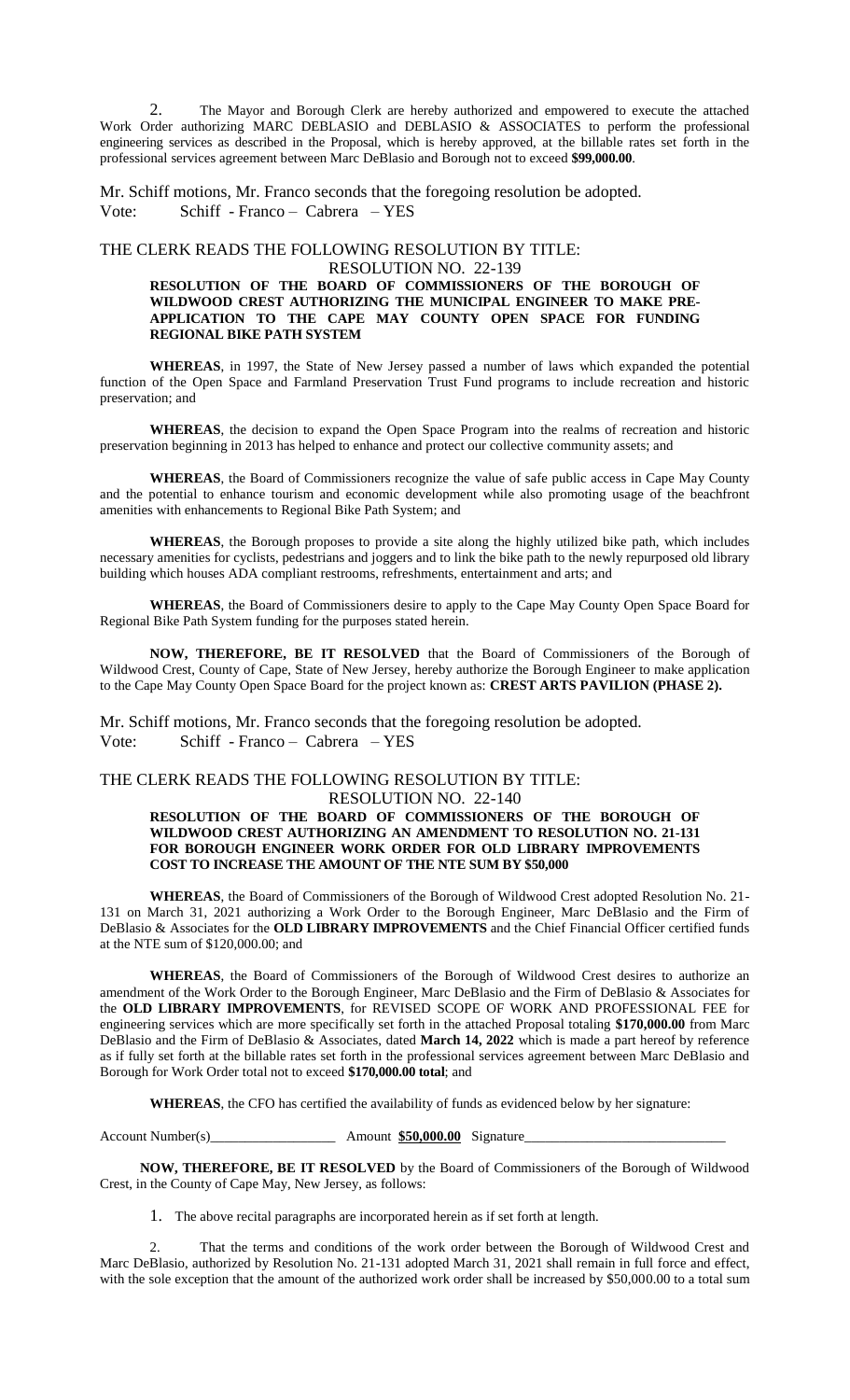2. The Mayor and Borough Clerk are hereby authorized and empowered to execute the attached Work Order authorizing MARC DEBLASIO and DEBLASIO & ASSOCIATES to perform the professional engineering services as described in the Proposal, which is hereby approved, at the billable rates set forth in the professional services agreement between Marc DeBlasio and Borough not to exceed **\$99,000.00**.

Mr. Schiff motions, Mr. Franco seconds that the foregoing resolution be adopted. Vote: Schiff - Franco – Cabrera – YES

# THE CLERK READS THE FOLLOWING RESOLUTION BY TITLE:

#### RESOLUTION NO. 22-139 **RESOLUTION OF THE BOARD OF COMMISSIONERS OF THE BOROUGH OF**

# **WILDWOOD CREST AUTHORIZING THE MUNICIPAL ENGINEER TO MAKE PRE-APPLICATION TO THE CAPE MAY COUNTY OPEN SPACE FOR FUNDING REGIONAL BIKE PATH SYSTEM**

**WHEREAS**, in 1997, the State of New Jersey passed a number of laws which expanded the potential function of the Open Space and Farmland Preservation Trust Fund programs to include recreation and historic preservation; and

**WHEREAS**, the decision to expand the Open Space Program into the realms of recreation and historic preservation beginning in 2013 has helped to enhance and protect our collective community assets; and

**WHEREAS**, the Board of Commissioners recognize the value of safe public access in Cape May County and the potential to enhance tourism and economic development while also promoting usage of the beachfront amenities with enhancements to Regional Bike Path System; and

**WHEREAS**, the Borough proposes to provide a site along the highly utilized bike path, which includes necessary amenities for cyclists, pedestrians and joggers and to link the bike path to the newly repurposed old library building which houses ADA compliant restrooms, refreshments, entertainment and arts; and

**WHEREAS**, the Board of Commissioners desire to apply to the Cape May County Open Space Board for Regional Bike Path System funding for the purposes stated herein.

**NOW, THEREFORE, BE IT RESOLVED** that the Board of Commissioners of the Borough of Wildwood Crest, County of Cape, State of New Jersey, hereby authorize the Borough Engineer to make application to the Cape May County Open Space Board for the project known as: **CREST ARTS PAVILION (PHASE 2).**

Mr. Schiff motions, Mr. Franco seconds that the foregoing resolution be adopted. Vote: Schiff - Franco – Cabrera – YES

# THE CLERK READS THE FOLLOWING RESOLUTION BY TITLE:

# RESOLUTION NO. 22-140

#### **RESOLUTION OF THE BOARD OF COMMISSIONERS OF THE BOROUGH OF WILDWOOD CREST AUTHORIZING AN AMENDMENT TO RESOLUTION NO. 21-131 FOR BOROUGH ENGINEER WORK ORDER FOR OLD LIBRARY IMPROVEMENTS COST TO INCREASE THE AMOUNT OF THE NTE SUM BY \$50,000**

**WHEREAS**, the Board of Commissioners of the Borough of Wildwood Crest adopted Resolution No. 21- 131 on March 31, 2021 authorizing a Work Order to the Borough Engineer, Marc DeBlasio and the Firm of DeBlasio & Associates for the **OLD LIBRARY IMPROVEMENTS** and the Chief Financial Officer certified funds at the NTE sum of \$120,000.00; and

**WHEREAS**, the Board of Commissioners of the Borough of Wildwood Crest desires to authorize an amendment of the Work Order to the Borough Engineer, Marc DeBlasio and the Firm of DeBlasio & Associates for the **OLD LIBRARY IMPROVEMENTS**, for REVISED SCOPE OF WORK AND PROFESSIONAL FEE for engineering services which are more specifically set forth in the attached Proposal totaling **\$170,000.00** from Marc DeBlasio and the Firm of DeBlasio & Associates, dated **March 14, 2022** which is made a part hereof by reference as if fully set forth at the billable rates set forth in the professional services agreement between Marc DeBlasio and Borough for Work Order total not to exceed **\$170,000.00 total**; and

**WHEREAS**, the CFO has certified the availability of funds as evidenced below by her signature:

Account Number(s)\_\_\_\_\_\_\_\_\_\_\_\_\_\_\_\_\_\_\_\_\_\_\_\_\_\_\_\_\_\_\_\_ Amount \$50,000.00 Signature\_

**NOW, THEREFORE, BE IT RESOLVED** by the Board of Commissioners of the Borough of Wildwood Crest, in the County of Cape May, New Jersey, as follows:

1. The above recital paragraphs are incorporated herein as if set forth at length.

2. That the terms and conditions of the work order between the Borough of Wildwood Crest and Marc DeBlasio, authorized by Resolution No. 21-131 adopted March 31, 2021 shall remain in full force and effect, with the sole exception that the amount of the authorized work order shall be increased by \$50,000.00 to a total sum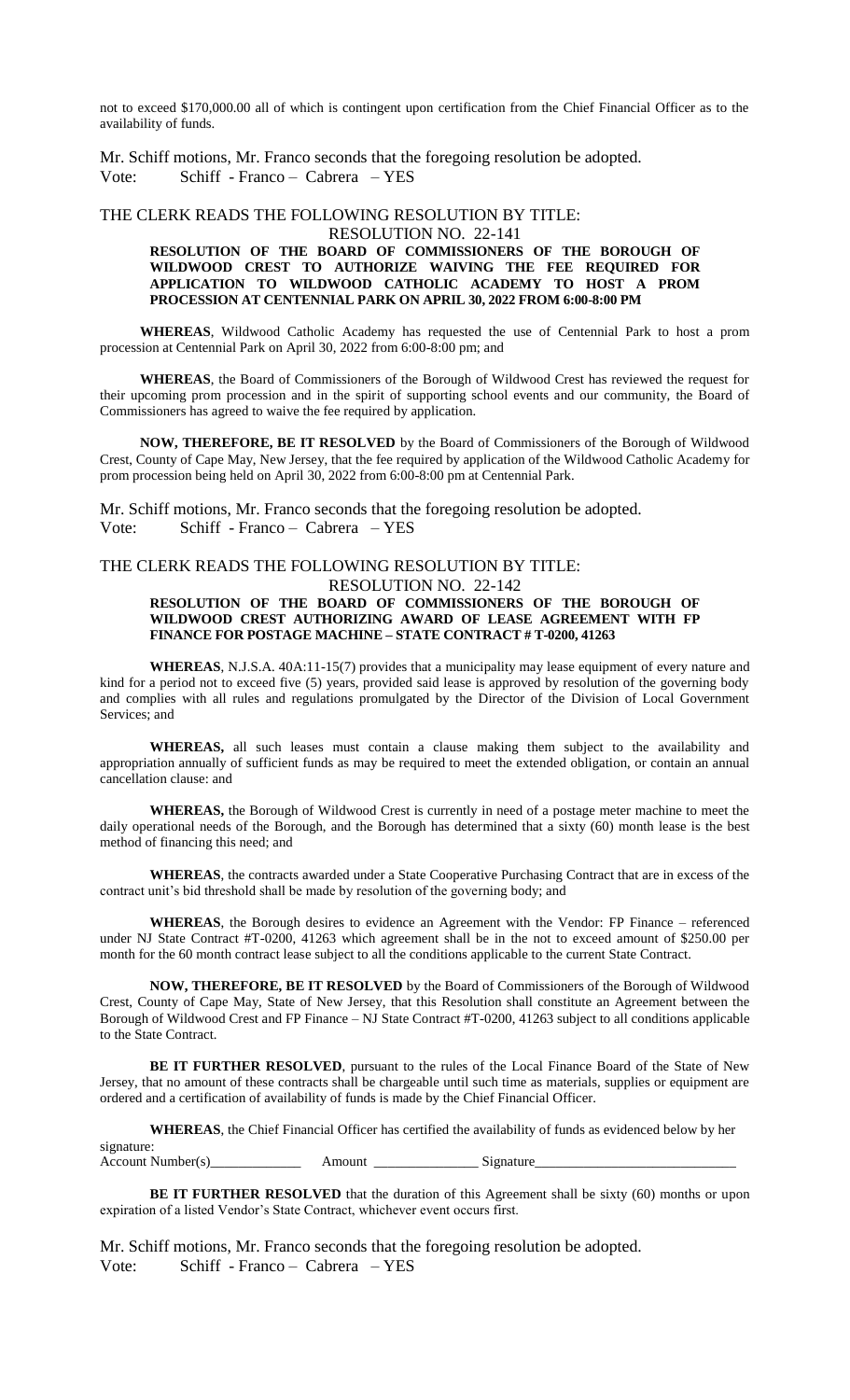not to exceed \$170,000.00 all of which is contingent upon certification from the Chief Financial Officer as to the availability of funds.

Mr. Schiff motions, Mr. Franco seconds that the foregoing resolution be adopted. Vote: Schiff - Franco – Cabrera – YES

# THE CLERK READS THE FOLLOWING RESOLUTION BY TITLE:

#### RESOLUTION NO. 22-141

#### **RESOLUTION OF THE BOARD OF COMMISSIONERS OF THE BOROUGH OF WILDWOOD CREST TO AUTHORIZE WAIVING THE FEE REQUIRED FOR APPLICATION TO WILDWOOD CATHOLIC ACADEMY TO HOST A PROM PROCESSION AT CENTENNIAL PARK ON APRIL 30, 2022 FROM 6:00-8:00 PM**

**WHEREAS**, Wildwood Catholic Academy has requested the use of Centennial Park to host a prom procession at Centennial Park on April 30, 2022 from 6:00-8:00 pm; and

**WHEREAS**, the Board of Commissioners of the Borough of Wildwood Crest has reviewed the request for their upcoming prom procession and in the spirit of supporting school events and our community, the Board of Commissioners has agreed to waive the fee required by application.

**NOW, THEREFORE, BE IT RESOLVED** by the Board of Commissioners of the Borough of Wildwood Crest, County of Cape May, New Jersey, that the fee required by application of the Wildwood Catholic Academy for prom procession being held on April 30, 2022 from 6:00-8:00 pm at Centennial Park.

Mr. Schiff motions, Mr. Franco seconds that the foregoing resolution be adopted. Vote: Schiff - Franco – Cabrera – YES

# THE CLERK READS THE FOLLOWING RESOLUTION BY TITLE:

#### RESOLUTION NO. 22-142 **RESOLUTION OF THE BOARD OF COMMISSIONERS OF THE BOROUGH OF WILDWOOD CREST AUTHORIZING AWARD OF LEASE AGREEMENT WITH FP FINANCE FOR POSTAGE MACHINE – STATE CONTRACT # T-0200, 41263**

**WHEREAS**, N.J.S.A. 40A:11-15(7) provides that a municipality may lease equipment of every nature and kind for a period not to exceed five (5) years, provided said lease is approved by resolution of the governing body and complies with all rules and regulations promulgated by the Director of the Division of Local Government Services; and

**WHEREAS,** all such leases must contain a clause making them subject to the availability and appropriation annually of sufficient funds as may be required to meet the extended obligation, or contain an annual cancellation clause: and

**WHEREAS,** the Borough of Wildwood Crest is currently in need of a postage meter machine to meet the daily operational needs of the Borough, and the Borough has determined that a sixty (60) month lease is the best method of financing this need; and

**WHEREAS**, the contracts awarded under a State Cooperative Purchasing Contract that are in excess of the contract unit's bid threshold shall be made by resolution of the governing body; and

**WHEREAS**, the Borough desires to evidence an Agreement with the Vendor: FP Finance – referenced under NJ State Contract #T-0200, 41263 which agreement shall be in the not to exceed amount of \$250.00 per month for the 60 month contract lease subject to all the conditions applicable to the current State Contract.

**NOW, THEREFORE, BE IT RESOLVED** by the Board of Commissioners of the Borough of Wildwood Crest, County of Cape May, State of New Jersey, that this Resolution shall constitute an Agreement between the Borough of Wildwood Crest and FP Finance – NJ State Contract #T-0200, 41263 subject to all conditions applicable to the State Contract.

**BE IT FURTHER RESOLVED**, pursuant to the rules of the Local Finance Board of the State of New Jersey, that no amount of these contracts shall be chargeable until such time as materials, supplies or equipment are ordered and a certification of availability of funds is made by the Chief Financial Officer.

**WHEREAS**, the Chief Financial Officer has certified the availability of funds as evidenced below by her

signature: Account Number(s)\_\_\_\_\_\_\_\_\_\_\_\_\_ Amount \_\_\_\_\_\_\_\_\_\_\_\_\_\_\_ Signature\_\_\_\_\_\_\_\_\_\_\_\_\_\_\_\_\_\_\_\_\_\_\_\_\_\_\_\_\_

**BE IT FURTHER RESOLVED** that the duration of this Agreement shall be sixty (60) months or upon expiration of a listed Vendor's State Contract, whichever event occurs first.

Mr. Schiff motions, Mr. Franco seconds that the foregoing resolution be adopted. Vote: Schiff - Franco – Cabrera – YES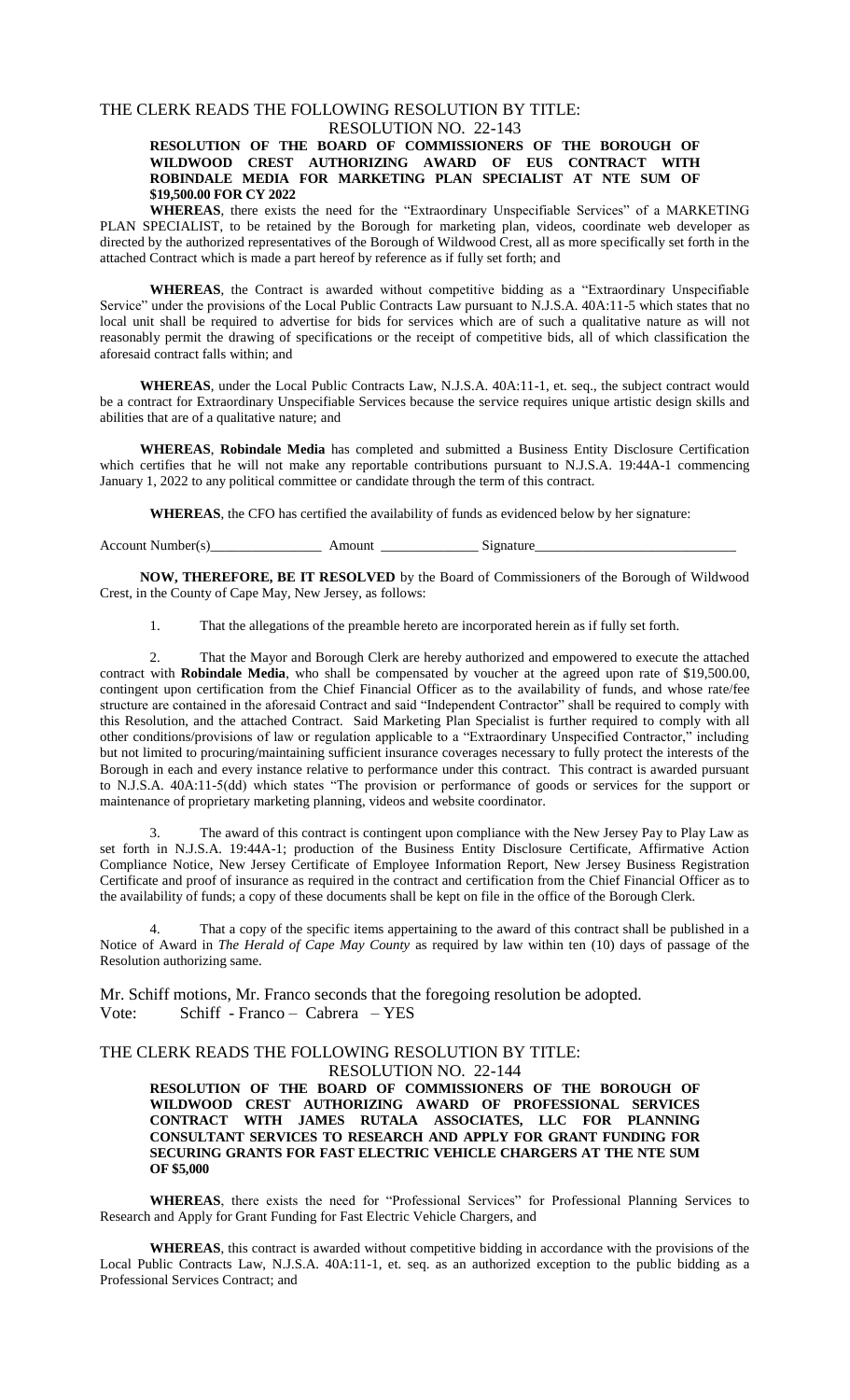# THE CLERK READS THE FOLLOWING RESOLUTION BY TITLE:

#### RESOLUTION NO. 22-143 **RESOLUTION OF THE BOARD OF COMMISSIONERS OF THE BOROUGH OF WILDWOOD CREST AUTHORIZING AWARD OF EUS CONTRACT WITH ROBINDALE MEDIA FOR MARKETING PLAN SPECIALIST AT NTE SUM OF \$19,500.00 FOR CY 2022**

**WHEREAS**, there exists the need for the "Extraordinary Unspecifiable Services" of a MARKETING PLAN SPECIALIST, to be retained by the Borough for marketing plan, videos, coordinate web developer as directed by the authorized representatives of the Borough of Wildwood Crest, all as more specifically set forth in the attached Contract which is made a part hereof by reference as if fully set forth; and

**WHEREAS**, the Contract is awarded without competitive bidding as a "Extraordinary Unspecifiable Service" under the provisions of the Local Public Contracts Law pursuant to N.J.S.A. 40A:11-5 which states that no local unit shall be required to advertise for bids for services which are of such a qualitative nature as will not reasonably permit the drawing of specifications or the receipt of competitive bids, all of which classification the aforesaid contract falls within; and

**WHEREAS**, under the Local Public Contracts Law, N.J.S.A. 40A:11-1, et. seq., the subject contract would be a contract for Extraordinary Unspecifiable Services because the service requires unique artistic design skills and abilities that are of a qualitative nature; and

**WHEREAS**, **Robindale Media** has completed and submitted a Business Entity Disclosure Certification which certifies that he will not make any reportable contributions pursuant to N.J.S.A. 19:44A-1 commencing January 1, 2022 to any political committee or candidate through the term of this contract.

**WHEREAS**, the CFO has certified the availability of funds as evidenced below by her signature:

Account Number(s)\_\_\_\_\_\_\_\_\_\_\_\_\_\_\_\_\_\_\_\_\_\_\_\_\_\_ Amount \_\_\_\_\_\_\_\_\_\_\_\_\_\_\_\_\_\_\_\_\_\_\_\_Signature\_

**NOW, THEREFORE, BE IT RESOLVED** by the Board of Commissioners of the Borough of Wildwood Crest, in the County of Cape May, New Jersey, as follows:

1. That the allegations of the preamble hereto are incorporated herein as if fully set forth.

2. That the Mayor and Borough Clerk are hereby authorized and empowered to execute the attached contract with **Robindale Media**, who shall be compensated by voucher at the agreed upon rate of \$19,500.00, contingent upon certification from the Chief Financial Officer as to the availability of funds, and whose rate/fee structure are contained in the aforesaid Contract and said "Independent Contractor" shall be required to comply with this Resolution, and the attached Contract. Said Marketing Plan Specialist is further required to comply with all other conditions/provisions of law or regulation applicable to a "Extraordinary Unspecified Contractor," including but not limited to procuring/maintaining sufficient insurance coverages necessary to fully protect the interests of the Borough in each and every instance relative to performance under this contract. This contract is awarded pursuant to N.J.S.A. 40A:11-5(dd) which states "The provision or performance of goods or services for the support or maintenance of proprietary marketing planning, videos and website coordinator.

The award of this contract is contingent upon compliance with the New Jersey Pay to Play Law as set forth in N.J.S.A. 19:44A-1; production of the Business Entity Disclosure Certificate, Affirmative Action Compliance Notice, New Jersey Certificate of Employee Information Report, New Jersey Business Registration Certificate and proof of insurance as required in the contract and certification from the Chief Financial Officer as to the availability of funds; a copy of these documents shall be kept on file in the office of the Borough Clerk.

That a copy of the specific items appertaining to the award of this contract shall be published in a Notice of Award in *The Herald of Cape May County* as required by law within ten (10) days of passage of the Resolution authorizing same.

Mr. Schiff motions, Mr. Franco seconds that the foregoing resolution be adopted. Vote: Schiff - Franco – Cabrera – YES

# THE CLERK READS THE FOLLOWING RESOLUTION BY TITLE:

#### RESOLUTION NO. 22-144

**RESOLUTION OF THE BOARD OF COMMISSIONERS OF THE BOROUGH OF WILDWOOD CREST AUTHORIZING AWARD OF PROFESSIONAL SERVICES CONTRACT WITH JAMES RUTALA ASSOCIATES, LLC FOR PLANNING CONSULTANT SERVICES TO RESEARCH AND APPLY FOR GRANT FUNDING FOR SECURING GRANTS FOR FAST ELECTRIC VEHICLE CHARGERS AT THE NTE SUM OF \$5,000**

**WHEREAS**, there exists the need for "Professional Services" for Professional Planning Services to Research and Apply for Grant Funding for Fast Electric Vehicle Chargers, and

**WHEREAS**, this contract is awarded without competitive bidding in accordance with the provisions of the Local Public Contracts Law, N.J.S.A. 40A:11-1, et. seq. as an authorized exception to the public bidding as a Professional Services Contract; and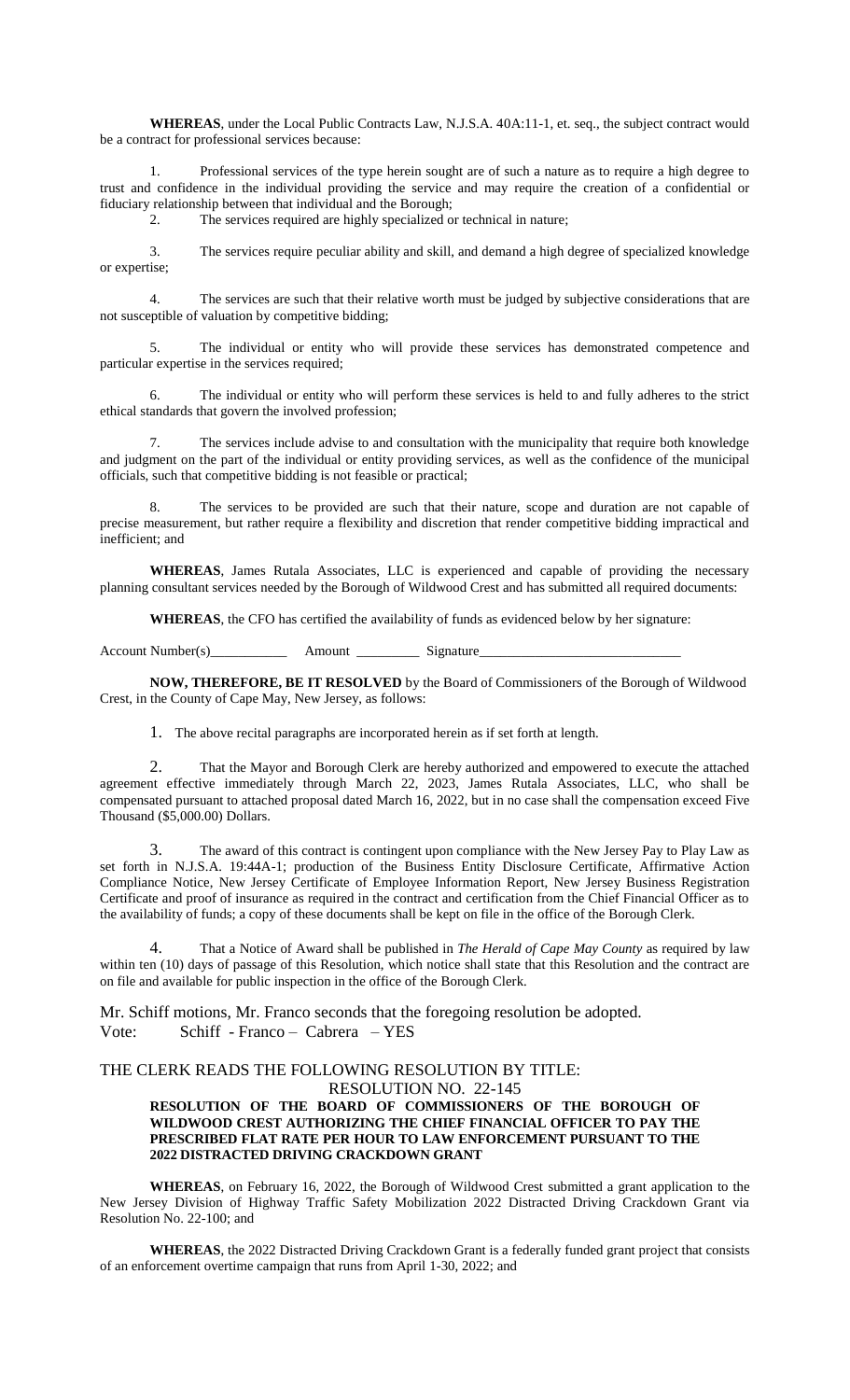**WHEREAS**, under the Local Public Contracts Law, N.J.S.A. 40A:11-1, et. seq., the subject contract would be a contract for professional services because:

1. Professional services of the type herein sought are of such a nature as to require a high degree to trust and confidence in the individual providing the service and may require the creation of a confidential or fiduciary relationship between that individual and the Borough;

2. The services required are highly specialized or technical in nature;

3. The services require peculiar ability and skill, and demand a high degree of specialized knowledge or expertise;

4. The services are such that their relative worth must be judged by subjective considerations that are not susceptible of valuation by competitive bidding;

5. The individual or entity who will provide these services has demonstrated competence and particular expertise in the services required;

6. The individual or entity who will perform these services is held to and fully adheres to the strict ethical standards that govern the involved profession;

The services include advise to and consultation with the municipality that require both knowledge and judgment on the part of the individual or entity providing services, as well as the confidence of the municipal officials, such that competitive bidding is not feasible or practical;

8. The services to be provided are such that their nature, scope and duration are not capable of precise measurement, but rather require a flexibility and discretion that render competitive bidding impractical and inefficient; and

**WHEREAS**, James Rutala Associates, LLC is experienced and capable of providing the necessary planning consultant services needed by the Borough of Wildwood Crest and has submitted all required documents:

**WHEREAS**, the CFO has certified the availability of funds as evidenced below by her signature:

Account Number(s)\_\_\_\_\_\_\_\_\_\_\_ Amount \_\_\_\_\_\_\_\_\_ Signature\_\_\_\_\_\_\_\_\_\_\_\_\_\_\_\_\_\_\_\_\_\_\_\_\_\_\_\_\_

**NOW, THEREFORE, BE IT RESOLVED** by the Board of Commissioners of the Borough of Wildwood Crest, in the County of Cape May, New Jersey, as follows:

1. The above recital paragraphs are incorporated herein as if set forth at length.

2. That the Mayor and Borough Clerk are hereby authorized and empowered to execute the attached agreement effective immediately through March 22, 2023, James Rutala Associates, LLC, who shall be compensated pursuant to attached proposal dated March 16, 2022, but in no case shall the compensation exceed Five Thousand (\$5,000.00) Dollars.

The award of this contract is contingent upon compliance with the New Jersey Pay to Play Law as set forth in N.J.S.A. 19:44A-1; production of the Business Entity Disclosure Certificate, Affirmative Action Compliance Notice, New Jersey Certificate of Employee Information Report, New Jersey Business Registration Certificate and proof of insurance as required in the contract and certification from the Chief Financial Officer as to the availability of funds; a copy of these documents shall be kept on file in the office of the Borough Clerk.

4. That a Notice of Award shall be published in *The Herald of Cape May County* as required by law within ten (10) days of passage of this Resolution, which notice shall state that this Resolution and the contract are on file and available for public inspection in the office of the Borough Clerk.

Mr. Schiff motions, Mr. Franco seconds that the foregoing resolution be adopted. Vote: Schiff - Franco – Cabrera – YES

#### THE CLERK READS THE FOLLOWING RESOLUTION BY TITLE: RESOLUTION NO. 22-145

#### **RESOLUTION OF THE BOARD OF COMMISSIONERS OF THE BOROUGH OF WILDWOOD CREST AUTHORIZING THE CHIEF FINANCIAL OFFICER TO PAY THE PRESCRIBED FLAT RATE PER HOUR TO LAW ENFORCEMENT PURSUANT TO THE 2022 DISTRACTED DRIVING CRACKDOWN GRANT**

**WHEREAS**, on February 16, 2022, the Borough of Wildwood Crest submitted a grant application to the New Jersey Division of Highway Traffic Safety Mobilization 2022 Distracted Driving Crackdown Grant via Resolution No. 22-100; and

**WHEREAS**, the 2022 Distracted Driving Crackdown Grant is a federally funded grant project that consists of an enforcement overtime campaign that runs from April 1-30, 2022; and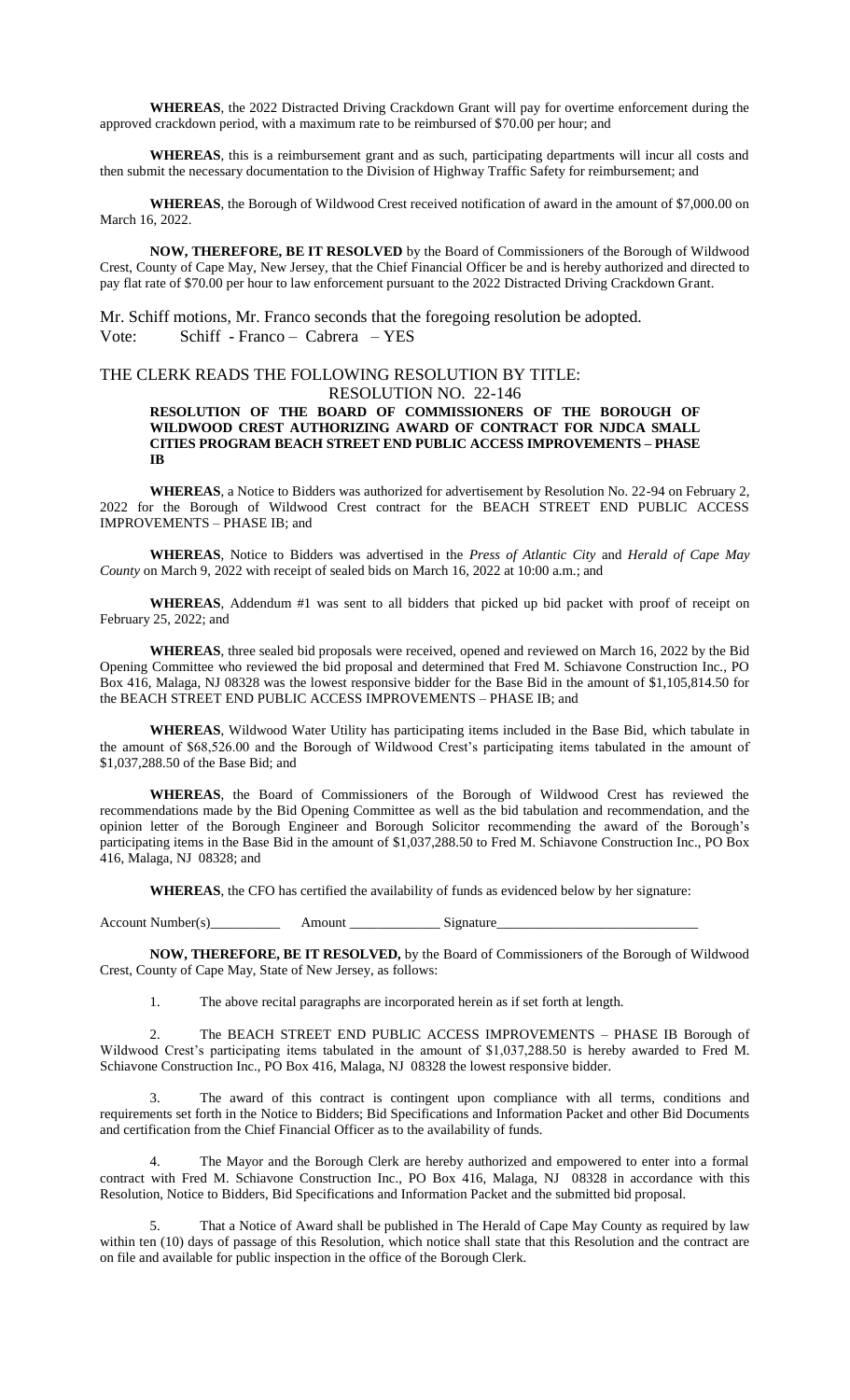**WHEREAS**, the 2022 Distracted Driving Crackdown Grant will pay for overtime enforcement during the approved crackdown period, with a maximum rate to be reimbursed of \$70.00 per hour; and

**WHEREAS**, this is a reimbursement grant and as such, participating departments will incur all costs and then submit the necessary documentation to the Division of Highway Traffic Safety for reimbursement; and

**WHEREAS**, the Borough of Wildwood Crest received notification of award in the amount of \$7,000.00 on March 16, 2022.

**NOW, THEREFORE, BE IT RESOLVED** by the Board of Commissioners of the Borough of Wildwood Crest, County of Cape May, New Jersey, that the Chief Financial Officer be and is hereby authorized and directed to pay flat rate of \$70.00 per hour to law enforcement pursuant to the 2022 Distracted Driving Crackdown Grant.

Mr. Schiff motions, Mr. Franco seconds that the foregoing resolution be adopted. Vote: Schiff - Franco – Cabrera – YES

# THE CLERK READS THE FOLLOWING RESOLUTION BY TITLE: RESOLUTION NO. 22-146

#### **RESOLUTION OF THE BOARD OF COMMISSIONERS OF THE BOROUGH OF WILDWOOD CREST AUTHORIZING AWARD OF CONTRACT FOR NJDCA SMALL CITIES PROGRAM BEACH STREET END PUBLIC ACCESS IMPROVEMENTS – PHASE IB**

**WHEREAS**, a Notice to Bidders was authorized for advertisement by Resolution No. 22-94 on February 2, 2022 for the Borough of Wildwood Crest contract for the BEACH STREET END PUBLIC ACCESS IMPROVEMENTS – PHASE IB; and

**WHEREAS**, Notice to Bidders was advertised in the *Press of Atlantic City* and *Herald of Cape May County* on March 9, 2022 with receipt of sealed bids on March 16, 2022 at 10:00 a.m.; and

**WHEREAS**, Addendum #1 was sent to all bidders that picked up bid packet with proof of receipt on February 25, 2022; and

**WHEREAS**, three sealed bid proposals were received, opened and reviewed on March 16, 2022 by the Bid Opening Committee who reviewed the bid proposal and determined that Fred M. Schiavone Construction Inc., PO Box 416, Malaga, NJ 08328 was the lowest responsive bidder for the Base Bid in the amount of \$1,105,814.50 for the BEACH STREET END PUBLIC ACCESS IMPROVEMENTS – PHASE IB; and

**WHEREAS**, Wildwood Water Utility has participating items included in the Base Bid, which tabulate in the amount of \$68,526.00 and the Borough of Wildwood Crest's participating items tabulated in the amount of \$1,037,288.50 of the Base Bid; and

**WHEREAS**, the Board of Commissioners of the Borough of Wildwood Crest has reviewed the recommendations made by the Bid Opening Committee as well as the bid tabulation and recommendation, and the opinion letter of the Borough Engineer and Borough Solicitor recommending the award of the Borough's participating items in the Base Bid in the amount of \$1,037,288.50 to Fred M. Schiavone Construction Inc., PO Box 416, Malaga, NJ 08328; and

**WHEREAS**, the CFO has certified the availability of funds as evidenced below by her signature:

Account Number(s)\_\_\_\_\_\_\_\_\_\_ Amount \_\_\_\_\_\_\_\_\_\_\_\_\_ Signature\_\_\_\_\_\_\_\_\_\_\_\_\_\_\_\_\_\_\_\_\_\_\_\_\_\_\_\_\_

**NOW, THEREFORE, BE IT RESOLVED,** by the Board of Commissioners of the Borough of Wildwood Crest, County of Cape May, State of New Jersey, as follows:

1. The above recital paragraphs are incorporated herein as if set forth at length.

2. The BEACH STREET END PUBLIC ACCESS IMPROVEMENTS – PHASE IB Borough of Wildwood Crest's participating items tabulated in the amount of \$1,037,288.50 is hereby awarded to Fred M. Schiavone Construction Inc., PO Box 416, Malaga, NJ 08328 the lowest responsive bidder.

The award of this contract is contingent upon compliance with all terms, conditions and requirements set forth in the Notice to Bidders; Bid Specifications and Information Packet and other Bid Documents and certification from the Chief Financial Officer as to the availability of funds.

The Mayor and the Borough Clerk are hereby authorized and empowered to enter into a formal contract with Fred M. Schiavone Construction Inc., PO Box 416, Malaga, NJ 08328 in accordance with this Resolution, Notice to Bidders, Bid Specifications and Information Packet and the submitted bid proposal.

5. That a Notice of Award shall be published in The Herald of Cape May County as required by law within ten (10) days of passage of this Resolution, which notice shall state that this Resolution and the contract are on file and available for public inspection in the office of the Borough Clerk.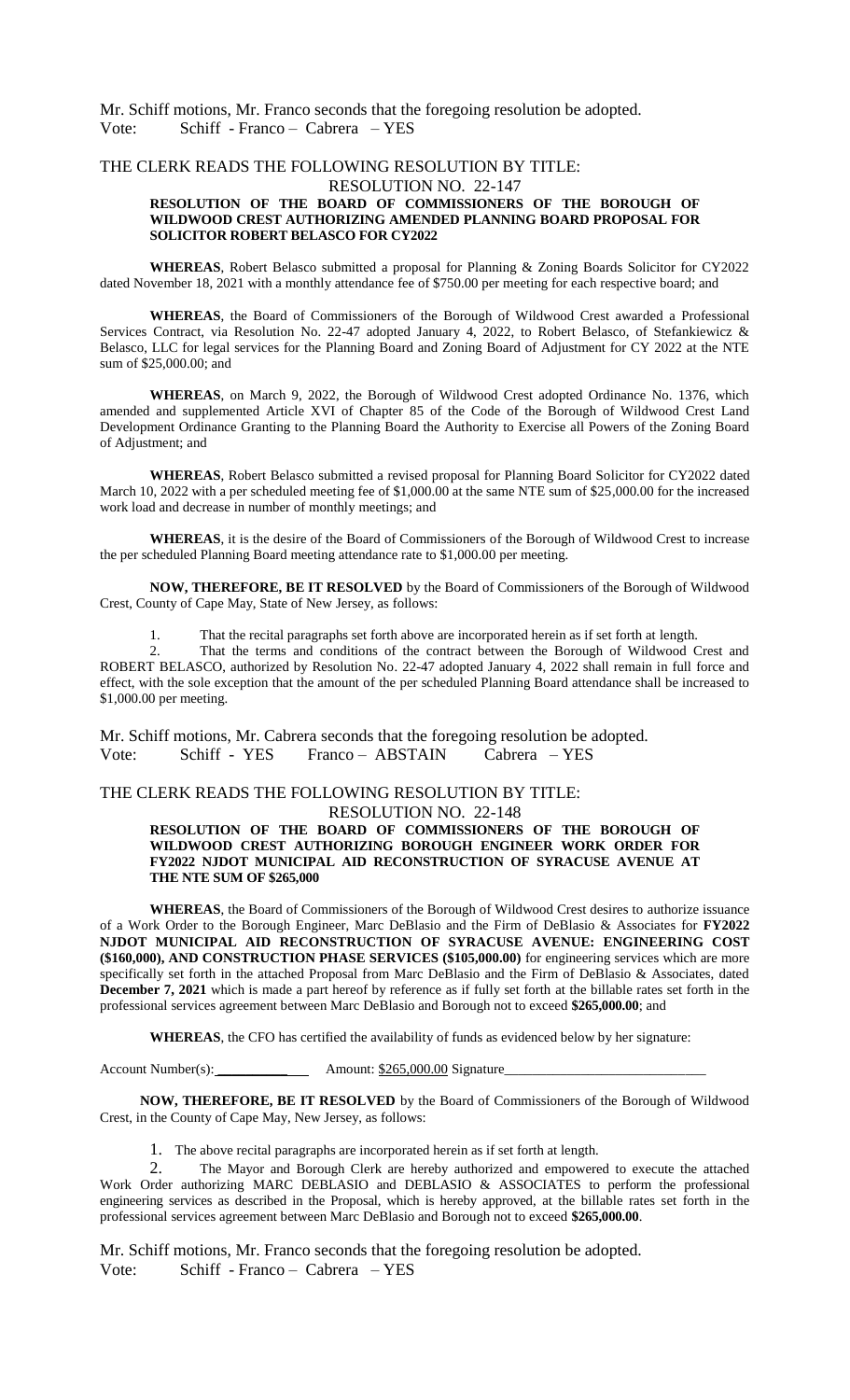Mr. Schiff motions, Mr. Franco seconds that the foregoing resolution be adopted. Vote: Schiff - Franco – Cabrera – YES

# THE CLERK READS THE FOLLOWING RESOLUTION BY TITLE:

#### RESOLUTION NO. 22-147

#### **RESOLUTION OF THE BOARD OF COMMISSIONERS OF THE BOROUGH OF WILDWOOD CREST AUTHORIZING AMENDED PLANNING BOARD PROPOSAL FOR SOLICITOR ROBERT BELASCO FOR CY2022**

**WHEREAS**, Robert Belasco submitted a proposal for Planning & Zoning Boards Solicitor for CY2022 dated November 18, 2021 with a monthly attendance fee of \$750.00 per meeting for each respective board; and

**WHEREAS**, the Board of Commissioners of the Borough of Wildwood Crest awarded a Professional Services Contract, via Resolution No. 22-47 adopted January 4, 2022, to Robert Belasco, of Stefankiewicz & Belasco, LLC for legal services for the Planning Board and Zoning Board of Adjustment for CY 2022 at the NTE sum of \$25,000.00; and

**WHEREAS**, on March 9, 2022, the Borough of Wildwood Crest adopted Ordinance No. 1376, which amended and supplemented Article XVI of Chapter 85 of the Code of the Borough of Wildwood Crest Land Development Ordinance Granting to the Planning Board the Authority to Exercise all Powers of the Zoning Board of Adjustment; and

**WHEREAS**, Robert Belasco submitted a revised proposal for Planning Board Solicitor for CY2022 dated March 10, 2022 with a per scheduled meeting fee of \$1,000.00 at the same NTE sum of \$25,000.00 for the increased work load and decrease in number of monthly meetings; and

**WHEREAS**, it is the desire of the Board of Commissioners of the Borough of Wildwood Crest to increase the per scheduled Planning Board meeting attendance rate to \$1,000.00 per meeting.

**NOW, THEREFORE, BE IT RESOLVED** by the Board of Commissioners of the Borough of Wildwood Crest, County of Cape May, State of New Jersey, as follows:

1. That the recital paragraphs set forth above are incorporated herein as if set forth at length.<br>2. That the terms and conditions of the contract between the Borough of Wildwood C

That the terms and conditions of the contract between the Borough of Wildwood Crest and ROBERT BELASCO, authorized by Resolution No. 22-47 adopted January 4, 2022 shall remain in full force and effect, with the sole exception that the amount of the per scheduled Planning Board attendance shall be increased to \$1,000.00 per meeting.

Mr. Schiff motions, Mr. Cabrera seconds that the foregoing resolution be adopted. Vote: Schiff - YES Franco – ABSTAIN Cabrera – YES

# THE CLERK READS THE FOLLOWING RESOLUTION BY TITLE:

#### RESOLUTION NO. 22-148

**RESOLUTION OF THE BOARD OF COMMISSIONERS OF THE BOROUGH OF WILDWOOD CREST AUTHORIZING BOROUGH ENGINEER WORK ORDER FOR FY2022 NJDOT MUNICIPAL AID RECONSTRUCTION OF SYRACUSE AVENUE AT THE NTE SUM OF \$265,000**

**WHEREAS**, the Board of Commissioners of the Borough of Wildwood Crest desires to authorize issuance of a Work Order to the Borough Engineer, Marc DeBlasio and the Firm of DeBlasio & Associates for **FY2022 NJDOT MUNICIPAL AID RECONSTRUCTION OF SYRACUSE AVENUE: ENGINEERING COST (\$160,000), AND CONSTRUCTION PHASE SERVICES (\$105,000.00)** for engineering services which are more specifically set forth in the attached Proposal from Marc DeBlasio and the Firm of DeBlasio & Associates, dated **December 7, 2021** which is made a part hereof by reference as if fully set forth at the billable rates set forth in the professional services agreement between Marc DeBlasio and Borough not to exceed **\$265,000.00**; and

**WHEREAS**, the CFO has certified the availability of funds as evidenced below by her signature:

Account Number(s): \_\_\_\_\_\_\_\_\_\_ Amount: \$265,000.00 Signature\_\_\_\_\_\_\_\_\_\_\_\_\_\_\_\_\_\_\_\_\_\_\_\_\_\_\_\_\_

**NOW, THEREFORE, BE IT RESOLVED** by the Board of Commissioners of the Borough of Wildwood Crest, in the County of Cape May, New Jersey, as follows:

1. The above recital paragraphs are incorporated herein as if set forth at length.

2. The Mayor and Borough Clerk are hereby authorized and empowered to execute the attached Work Order authorizing MARC DEBLASIO and DEBLASIO & ASSOCIATES to perform the professional engineering services as described in the Proposal, which is hereby approved, at the billable rates set forth in the professional services agreement between Marc DeBlasio and Borough not to exceed **\$265,000.00**.

Mr. Schiff motions, Mr. Franco seconds that the foregoing resolution be adopted. Vote: Schiff - Franco – Cabrera – YES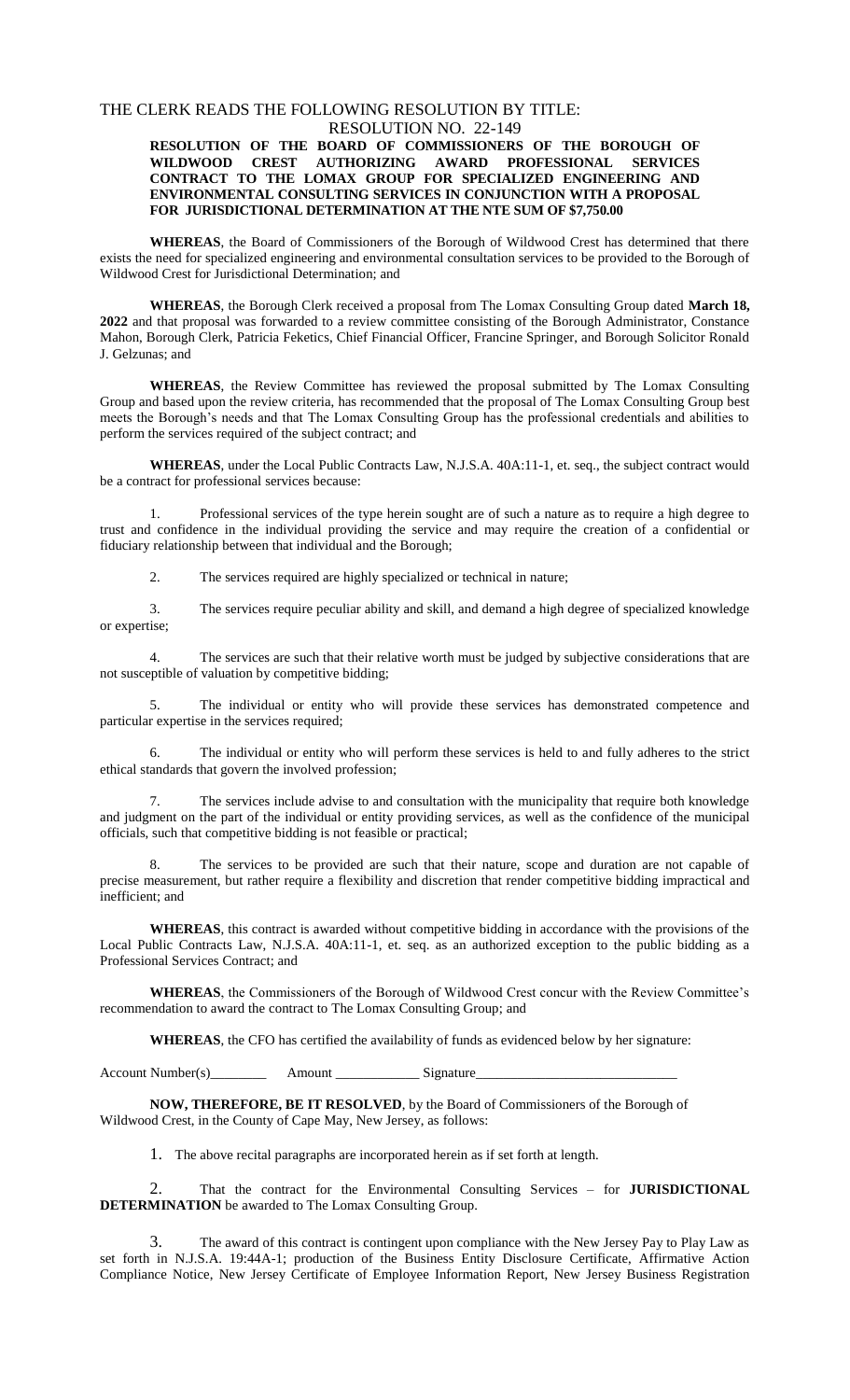#### THE CLERK READS THE FOLLOWING RESOLUTION BY TITLE: RESOLUTION NO. 22-149

#### **RESOLUTION OF THE BOARD OF COMMISSIONERS OF THE BOROUGH OF WILDWOOD CREST AUTHORIZING AWARD PROFESSIONAL SERVICES CONTRACT TO THE LOMAX GROUP FOR SPECIALIZED ENGINEERING AND ENVIRONMENTAL CONSULTING SERVICES IN CONJUNCTION WITH A PROPOSAL FOR JURISDICTIONAL DETERMINATION AT THE NTE SUM OF \$7,750.00**

**WHEREAS**, the Board of Commissioners of the Borough of Wildwood Crest has determined that there exists the need for specialized engineering and environmental consultation services to be provided to the Borough of Wildwood Crest for Jurisdictional Determination; and

**WHEREAS**, the Borough Clerk received a proposal from The Lomax Consulting Group dated **March 18, 2022** and that proposal was forwarded to a review committee consisting of the Borough Administrator, Constance Mahon, Borough Clerk, Patricia Feketics, Chief Financial Officer, Francine Springer, and Borough Solicitor Ronald J. Gelzunas; and

**WHEREAS**, the Review Committee has reviewed the proposal submitted by The Lomax Consulting Group and based upon the review criteria, has recommended that the proposal of The Lomax Consulting Group best meets the Borough's needs and that The Lomax Consulting Group has the professional credentials and abilities to perform the services required of the subject contract; and

**WHEREAS**, under the Local Public Contracts Law, N.J.S.A. 40A:11-1, et. seq., the subject contract would be a contract for professional services because:

1. Professional services of the type herein sought are of such a nature as to require a high degree to trust and confidence in the individual providing the service and may require the creation of a confidential or fiduciary relationship between that individual and the Borough;

2. The services required are highly specialized or technical in nature;

3. The services require peculiar ability and skill, and demand a high degree of specialized knowledge or expertise;

4. The services are such that their relative worth must be judged by subjective considerations that are not susceptible of valuation by competitive bidding;

5. The individual or entity who will provide these services has demonstrated competence and particular expertise in the services required;

6. The individual or entity who will perform these services is held to and fully adheres to the strict ethical standards that govern the involved profession;

The services include advise to and consultation with the municipality that require both knowledge and judgment on the part of the individual or entity providing services, as well as the confidence of the municipal officials, such that competitive bidding is not feasible or practical;

The services to be provided are such that their nature, scope and duration are not capable of precise measurement, but rather require a flexibility and discretion that render competitive bidding impractical and inefficient; and

**WHEREAS**, this contract is awarded without competitive bidding in accordance with the provisions of the Local Public Contracts Law, N.J.S.A. 40A:11-1, et. seq. as an authorized exception to the public bidding as a Professional Services Contract; and

**WHEREAS**, the Commissioners of the Borough of Wildwood Crest concur with the Review Committee's recommendation to award the contract to The Lomax Consulting Group; and

**WHEREAS**, the CFO has certified the availability of funds as evidenced below by her signature:

Account Number(s)\_\_\_\_\_\_\_\_\_\_\_\_\_\_\_ Amount \_\_\_\_\_\_\_\_\_\_\_\_\_\_\_\_\_\_\_\_\_\_Signature\_

**NOW, THEREFORE, BE IT RESOLVED**, by the Board of Commissioners of the Borough of Wildwood Crest, in the County of Cape May, New Jersey, as follows:

1. The above recital paragraphs are incorporated herein as if set forth at length.

2. That the contract for the Environmental Consulting Services – for **JURISDICTIONAL DETERMINATION** be awarded to The Lomax Consulting Group.

3. The award of this contract is contingent upon compliance with the New Jersey Pay to Play Law as set forth in N.J.S.A. 19:44A-1; production of the Business Entity Disclosure Certificate, Affirmative Action Compliance Notice, New Jersey Certificate of Employee Information Report, New Jersey Business Registration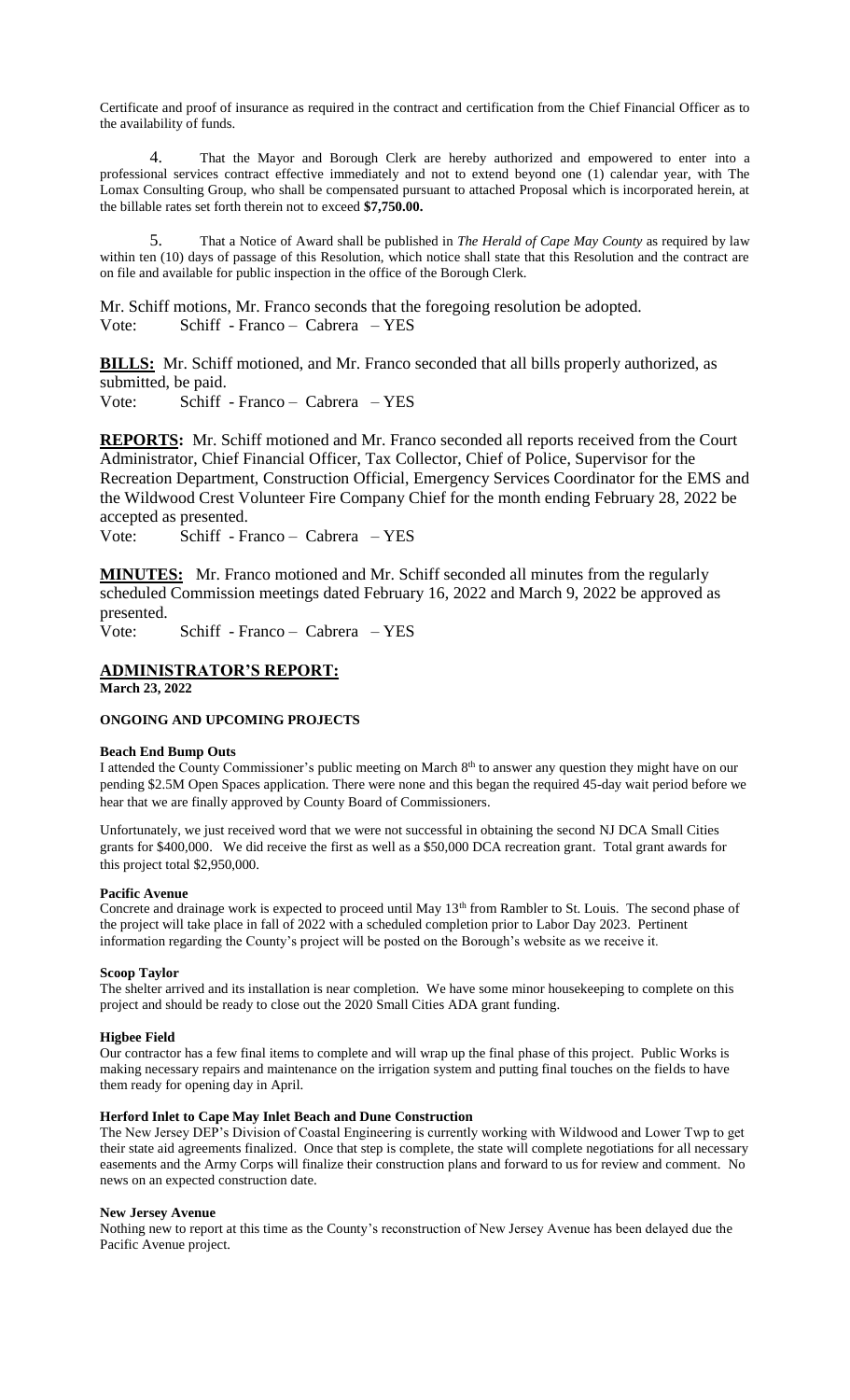Certificate and proof of insurance as required in the contract and certification from the Chief Financial Officer as to the availability of funds.

4. That the Mayor and Borough Clerk are hereby authorized and empowered to enter into a professional services contract effective immediately and not to extend beyond one (1) calendar year, with The Lomax Consulting Group, who shall be compensated pursuant to attached Proposal which is incorporated herein, at the billable rates set forth therein not to exceed **\$7,750.00.**

5. That a Notice of Award shall be published in *The Herald of Cape May County* as required by law within ten (10) days of passage of this Resolution, which notice shall state that this Resolution and the contract are on file and available for public inspection in the office of the Borough Clerk.

Mr. Schiff motions, Mr. Franco seconds that the foregoing resolution be adopted. Vote: Schiff - Franco – Cabrera – YES

**BILLS:** Mr. Schiff motioned, and Mr. Franco seconded that all bills properly authorized, as submitted, be paid.

Vote: Schiff - Franco – Cabrera – YES

**REPORTS:** Mr. Schiff motioned and Mr. Franco seconded all reports received from the Court Administrator, Chief Financial Officer, Tax Collector, Chief of Police, Supervisor for the Recreation Department, Construction Official, Emergency Services Coordinator for the EMS and the Wildwood Crest Volunteer Fire Company Chief for the month ending February 28, 2022 be accepted as presented.

Vote: Schiff - Franco – Cabrera – YES

**MINUTES:** Mr. Franco motioned and Mr. Schiff seconded all minutes from the regularly scheduled Commission meetings dated February 16, 2022 and March 9, 2022 be approved as presented.

Vote: Schiff - Franco – Cabrera – YES

# **ADMINISTRATOR'S REPORT:**

**March 23, 2022**

#### **ONGOING AND UPCOMING PROJECTS**

#### **Beach End Bump Outs**

I attended the County Commissioner's public meeting on March 8<sup>th</sup> to answer any question they might have on our pending \$2.5M Open Spaces application. There were none and this began the required 45-day wait period before we hear that we are finally approved by County Board of Commissioners.

Unfortunately, we just received word that we were not successful in obtaining the second NJ DCA Small Cities grants for \$400,000. We did receive the first as well as a \$50,000 DCA recreation grant. Total grant awards for this project total \$2,950,000.

#### **Pacific Avenue**

Concrete and drainage work is expected to proceed until May 13<sup>th</sup> from Rambler to St. Louis. The second phase of the project will take place in fall of 2022 with a scheduled completion prior to Labor Day 2023. Pertinent information regarding the County's project will be posted on the Borough's website as we receive it.

#### **Scoop Taylor**

The shelter arrived and its installation is near completion. We have some minor housekeeping to complete on this project and should be ready to close out the 2020 Small Cities ADA grant funding.

#### **Higbee Field**

Our contractor has a few final items to complete and will wrap up the final phase of this project. Public Works is making necessary repairs and maintenance on the irrigation system and putting final touches on the fields to have them ready for opening day in April.

#### **Herford Inlet to Cape May Inlet Beach and Dune Construction**

The New Jersey DEP's Division of Coastal Engineering is currently working with Wildwood and Lower Twp to get their state aid agreements finalized. Once that step is complete, the state will complete negotiations for all necessary easements and the Army Corps will finalize their construction plans and forward to us for review and comment. No news on an expected construction date.

#### **New Jersey Avenue**

Nothing new to report at this time as the County's reconstruction of New Jersey Avenue has been delayed due the Pacific Avenue project.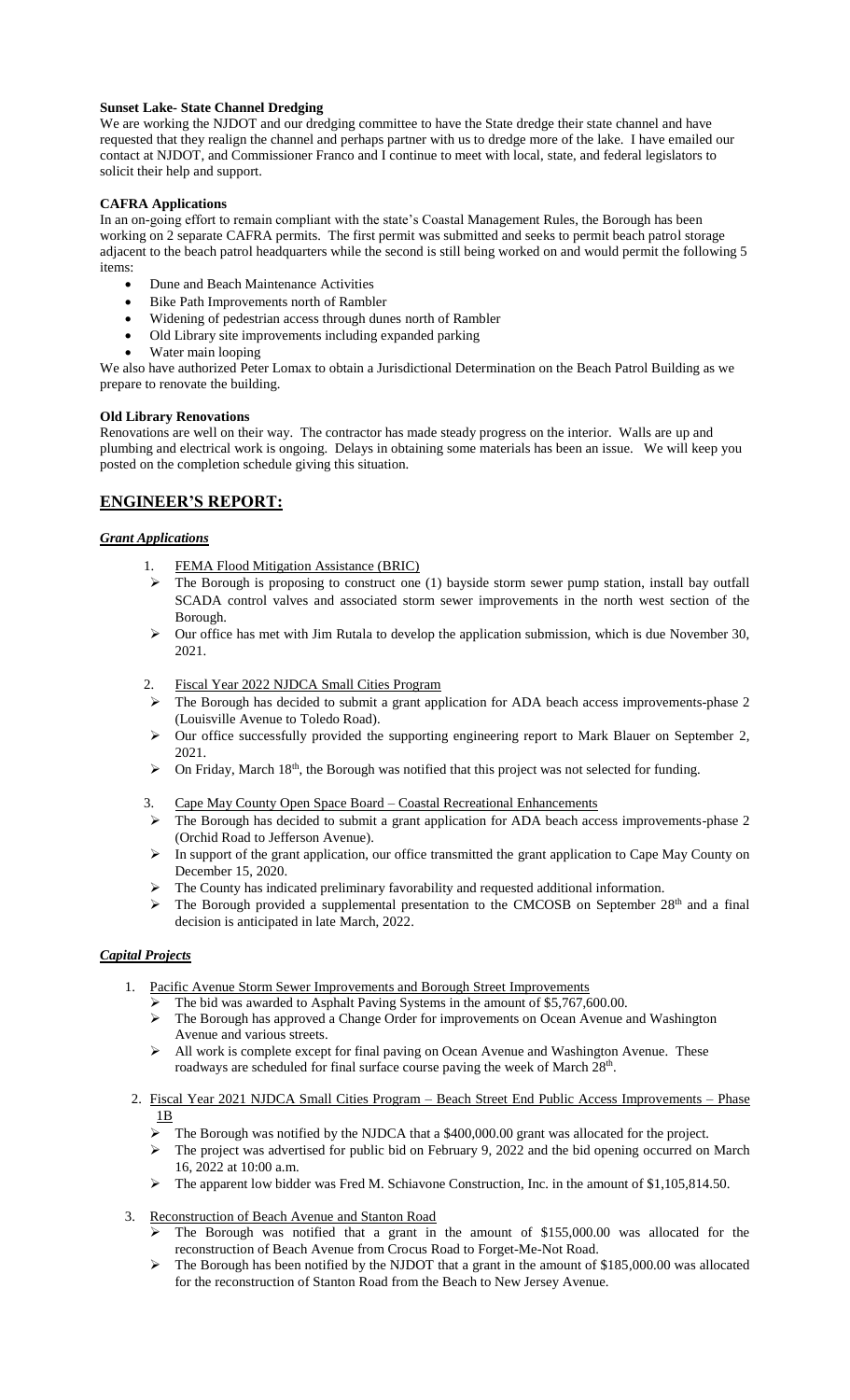### **Sunset Lake- State Channel Dredging**

We are working the NJDOT and our dredging committee to have the State dredge their state channel and have requested that they realign the channel and perhaps partner with us to dredge more of the lake. I have emailed our contact at NJDOT, and Commissioner Franco and I continue to meet with local, state, and federal legislators to solicit their help and support.

#### **CAFRA Applications**

In an on-going effort to remain compliant with the state's Coastal Management Rules, the Borough has been working on 2 separate CAFRA permits. The first permit was submitted and seeks to permit beach patrol storage adjacent to the beach patrol headquarters while the second is still being worked on and would permit the following 5 items:

- Dune and Beach Maintenance Activities
- Bike Path Improvements north of Rambler
- Widening of pedestrian access through dunes north of Rambler
- Old Library site improvements including expanded parking
- Water main looping

We also have authorized Peter Lomax to obtain a Jurisdictional Determination on the Beach Patrol Building as we prepare to renovate the building.

#### **Old Library Renovations**

Renovations are well on their way. The contractor has made steady progress on the interior. Walls are up and plumbing and electrical work is ongoing. Delays in obtaining some materials has been an issue. We will keep you posted on the completion schedule giving this situation.

# **ENGINEER'S REPORT:**

### *Grant Applications*

- 1. FEMA Flood Mitigation Assistance (BRIC)
- $\triangleright$  The Borough is proposing to construct one (1) bayside storm sewer pump station, install bay outfall SCADA control valves and associated storm sewer improvements in the north west section of the Borough.
- $\triangleright$  Our office has met with Jim Rutala to develop the application submission, which is due November 30, 2021.
- 2. Fiscal Year 2022 NJDCA Small Cities Program
- $\triangleright$  The Borough has decided to submit a grant application for ADA beach access improvements-phase 2 (Louisville Avenue to Toledo Road).
- Our office successfully provided the supporting engineering report to Mark Blauer on September 2, 2021.
- $\triangleright$  On Friday, March 18<sup>th</sup>, the Borough was notified that this project was not selected for funding.
- 3. Cape May County Open Space Board Coastal Recreational Enhancements
- The Borough has decided to submit a grant application for ADA beach access improvements-phase 2 (Orchid Road to Jefferson Avenue).
- $\triangleright$  In support of the grant application, our office transmitted the grant application to Cape May County on December 15, 2020.
- The County has indicated preliminary favorability and requested additional information.
- $\triangleright$  The Borough provided a supplemental presentation to the CMCOSB on September 28<sup>th</sup> and a final decision is anticipated in late March, 2022.

# *Capital Projects*

- 1. Pacific Avenue Storm Sewer Improvements and Borough Street Improvements
	- The bid was awarded to Asphalt Paving Systems in the amount of \$5,767,600.00.
	- The Borough has approved a Change Order for improvements on Ocean Avenue and Washington Avenue and various streets.
	- $\triangleright$  All work is complete except for final paving on Ocean Avenue and Washington Avenue. These roadways are scheduled for final surface course paving the week of March 28<sup>th</sup>.
- 2. Fiscal Year 2021 NJDCA Small Cities Program Beach Street End Public Access Improvements Phase 1B
	- The Borough was notified by the NJDCA that a \$400,000.00 grant was allocated for the project.
	- > The project was advertised for public bid on February 9, 2022 and the bid opening occurred on March 16, 2022 at 10:00 a.m.
	- The apparent low bidder was Fred M. Schiavone Construction, Inc. in the amount of \$1,105,814.50.
- 3. Reconstruction of Beach Avenue and Stanton Road
	- The Borough was notified that a grant in the amount of \$155,000.00 was allocated for the reconstruction of Beach Avenue from Crocus Road to Forget-Me-Not Road.
	- $\triangleright$  The Borough has been notified by the NJDOT that a grant in the amount of \$185,000.00 was allocated for the reconstruction of Stanton Road from the Beach to New Jersey Avenue.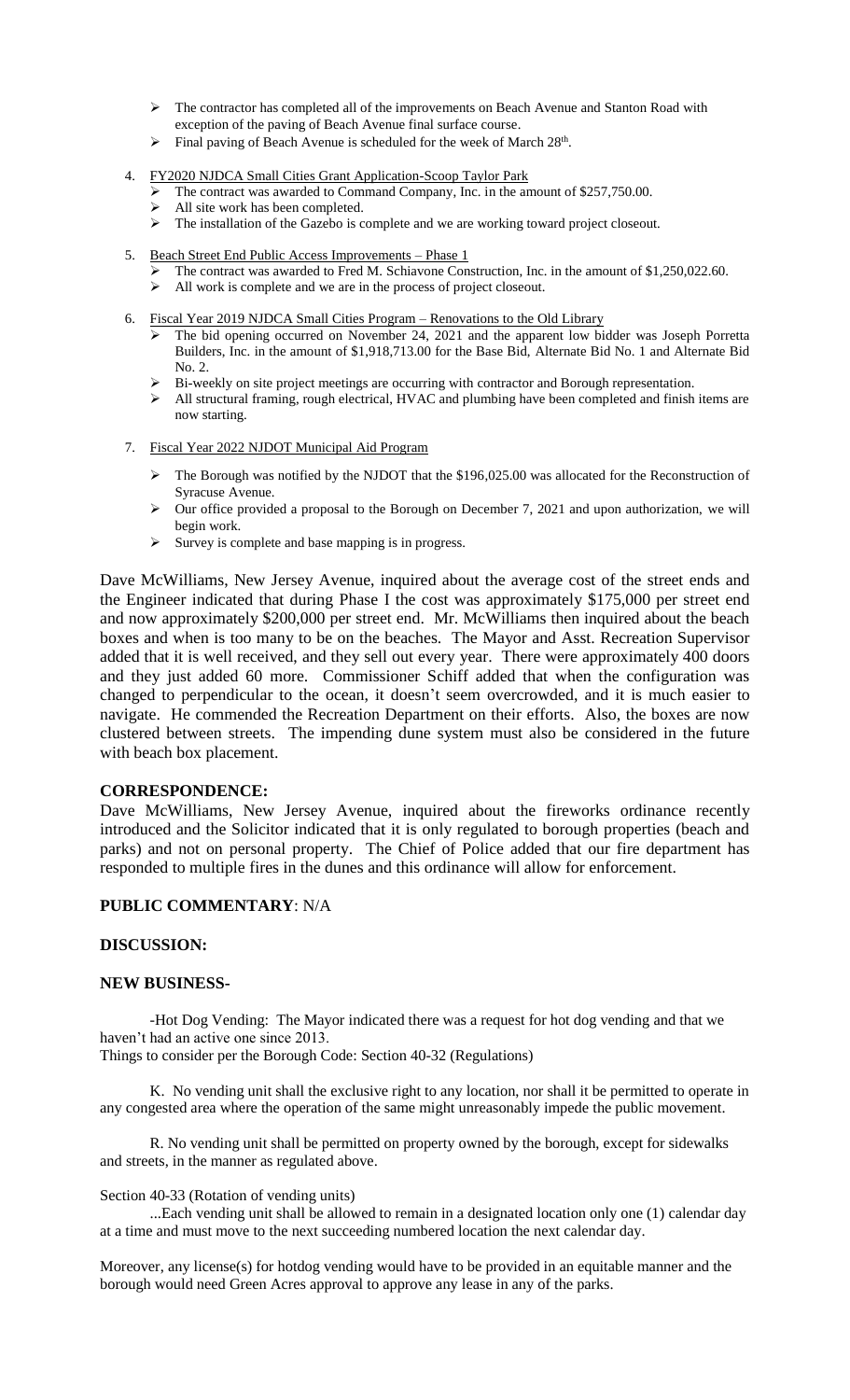- $\triangleright$  The contractor has completed all of the improvements on Beach Avenue and Stanton Road with exception of the paving of Beach Avenue final surface course.
- $\triangleright$  Final paving of Beach Avenue is scheduled for the week of March 28<sup>th</sup>.
- 4. FY2020 NJDCA Small Cities Grant Application-Scoop Taylor Park
	- $\blacktriangleright$  The contract was awarded to Command Company, Inc. in the amount of \$257,750.00.
	- $\triangleright$  All site work has been completed.
	- > The installation of the Gazebo is complete and we are working toward project closeout.
- 5. Beach Street End Public Access Improvements Phase 1
	- The contract was awarded to Fred M. Schiavone Construction, Inc. in the amount of \$1,250,022.60.
	- All work is complete and we are in the process of project closeout.<br>All work is complete and we are in the process of project closeout.
- 6. Fiscal Year 2019 NJDCA Small Cities Program Renovations to the Old Library
	- $\triangleright$  The bid opening occurred on November 24, 2021 and the apparent low bidder was Joseph Porretta Builders, Inc. in the amount of \$1,918,713.00 for the Base Bid, Alternate Bid No. 1 and Alternate Bid No. 2.
	- $\triangleright$  Bi-weekly on site project meetings are occurring with contractor and Borough representation.
	- $\triangleright$  All structural framing, rough electrical, HVAC and plumbing have been completed and finish items are now starting.
- 7. Fiscal Year 2022 NJDOT Municipal Aid Program
	- $\triangleright$  The Borough was notified by the NJDOT that the \$196,025.00 was allocated for the Reconstruction of Syracuse Avenue.
	- Syracuse Avenue.<br>
	Solur office provided a proposal to the Borough on December 7, 2021 and upon authorization, we will begin work.
	- $\triangleright$  Survey is complete and base mapping is in progress.

Dave McWilliams, New Jersey Avenue, inquired about the average cost of the street ends and the Engineer indicated that during Phase I the cost was approximately \$175,000 per street end and now approximately \$200,000 per street end. Mr. McWilliams then inquired about the beach boxes and when is too many to be on the beaches. The Mayor and Asst. Recreation Supervisor added that it is well received, and they sell out every year. There were approximately 400 doors and they just added 60 more. Commissioner Schiff added that when the configuration was changed to perpendicular to the ocean, it doesn't seem overcrowded, and it is much easier to navigate. He commended the Recreation Department on their efforts. Also, the boxes are now clustered between streets. The impending dune system must also be considered in the future with beach box placement.

### **CORRESPONDENCE:**

Dave McWilliams, New Jersey Avenue, inquired about the fireworks ordinance recently introduced and the Solicitor indicated that it is only regulated to borough properties (beach and parks) and not on personal property. The Chief of Police added that our fire department has responded to multiple fires in the dunes and this ordinance will allow for enforcement.

### **PUBLIC COMMENTARY**: N/A

### **DISCUSSION:**

### **NEW BUSINESS-**

-Hot Dog Vending: The Mayor indicated there was a request for hot dog vending and that we haven't had an active one since 2013.

Things to consider per the Borough Code: Section 40-32 (Regulations)

K. No vending unit shall the exclusive right to any location, nor shall it be permitted to operate in any congested area where the operation of the same might unreasonably impede the public movement.

R. No vending unit shall be permitted on property owned by the borough, except for sidewalks and streets, in the manner as regulated above.

### Section 40-33 (Rotation of vending units)

...Each vending unit shall be allowed to remain in a designated location only one (1) calendar day at a time and must move to the next succeeding numbered location the next calendar day.

Moreover, any license(s) for hotdog vending would have to be provided in an equitable manner and the borough would need Green Acres approval to approve any lease in any of the parks.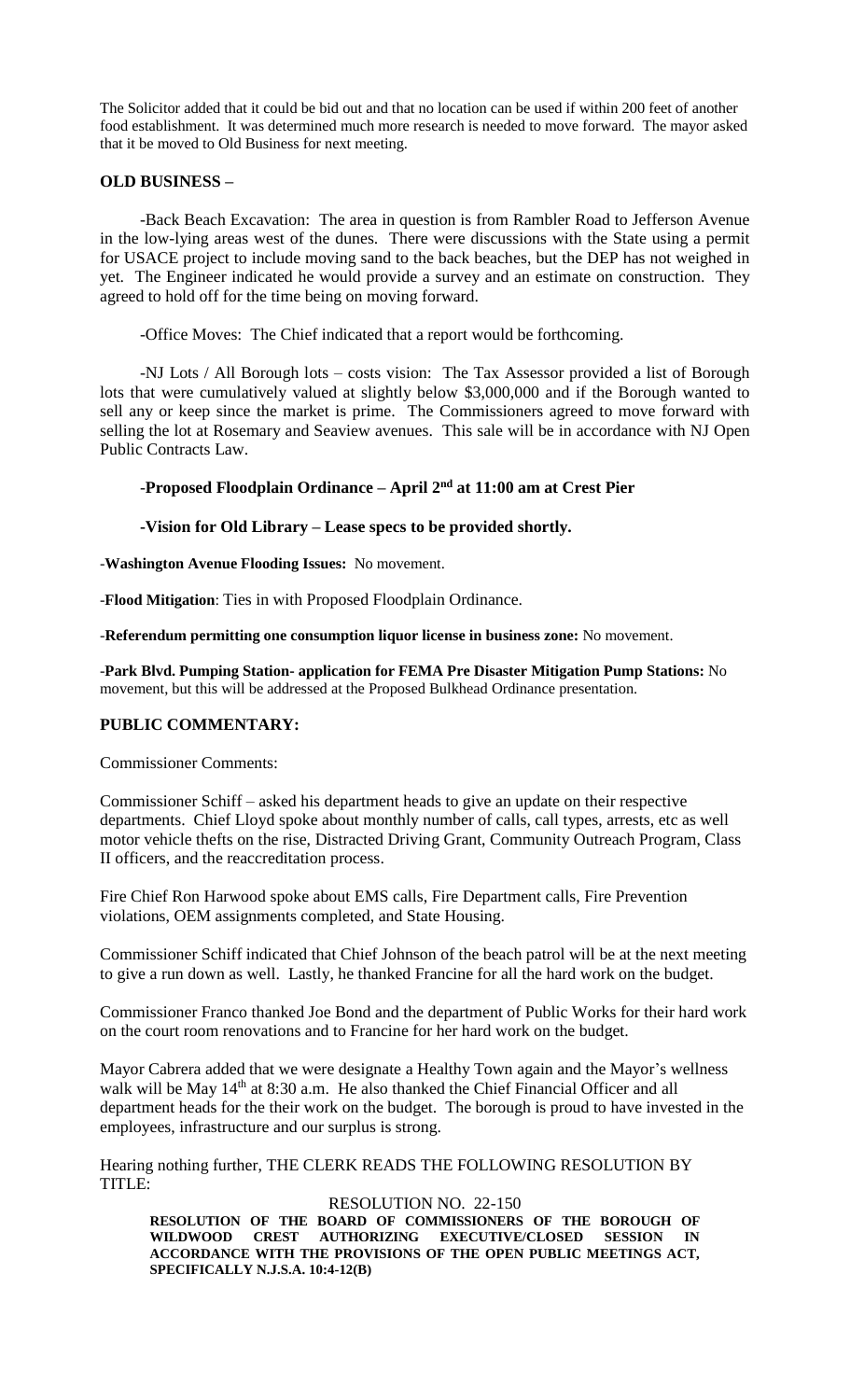The Solicitor added that it could be bid out and that no location can be used if within 200 feet of another food establishment. It was determined much more research is needed to move forward. The mayor asked that it be moved to Old Business for next meeting.

# **OLD BUSINESS –**

-Back Beach Excavation: The area in question is from Rambler Road to Jefferson Avenue in the low-lying areas west of the dunes. There were discussions with the State using a permit for USACE project to include moving sand to the back beaches, but the DEP has not weighed in yet. The Engineer indicated he would provide a survey and an estimate on construction. They agreed to hold off for the time being on moving forward.

-Office Moves: The Chief indicated that a report would be forthcoming.

-NJ Lots / All Borough lots – costs vision: The Tax Assessor provided a list of Borough lots that were cumulatively valued at slightly below \$3,000,000 and if the Borough wanted to sell any or keep since the market is prime. The Commissioners agreed to move forward with selling the lot at Rosemary and Seaview avenues. This sale will be in accordance with NJ Open Public Contracts Law.

# -**Proposed Floodplain Ordinance – April 2 nd at 11:00 am at Crest Pier**

# **-Vision for Old Library – Lease specs to be provided shortly.**

-**Washington Avenue Flooding Issues:** No movement.

-**Flood Mitigation**: Ties in with Proposed Floodplain Ordinance.

-**Referendum permitting one consumption liquor license in business zone:** No movement.

-**Park Blvd. Pumping Station- application for FEMA Pre Disaster Mitigation Pump Stations:** No movement, but this will be addressed at the Proposed Bulkhead Ordinance presentation.

# **PUBLIC COMMENTARY:**

Commissioner Comments:

Commissioner Schiff – asked his department heads to give an update on their respective departments. Chief Lloyd spoke about monthly number of calls, call types, arrests, etc as well motor vehicle thefts on the rise, Distracted Driving Grant, Community Outreach Program, Class II officers, and the reaccreditation process.

Fire Chief Ron Harwood spoke about EMS calls, Fire Department calls, Fire Prevention violations, OEM assignments completed, and State Housing.

Commissioner Schiff indicated that Chief Johnson of the beach patrol will be at the next meeting to give a run down as well. Lastly, he thanked Francine for all the hard work on the budget.

Commissioner Franco thanked Joe Bond and the department of Public Works for their hard work on the court room renovations and to Francine for her hard work on the budget.

Mayor Cabrera added that we were designate a Healthy Town again and the Mayor's wellness walk will be May 14<sup>th</sup> at 8:30 a.m. He also thanked the Chief Financial Officer and all department heads for the their work on the budget. The borough is proud to have invested in the employees, infrastructure and our surplus is strong.

Hearing nothing further, THE CLERK READS THE FOLLOWING RESOLUTION BY TITLE:

RESOLUTION NO. 22-150 **RESOLUTION OF THE BOARD OF COMMISSIONERS OF THE BOROUGH OF WILDWOOD CREST AUTHORIZING EXECUTIVE/CLOSED SESSION IN ACCORDANCE WITH THE PROVISIONS OF THE OPEN PUBLIC MEETINGS ACT, SPECIFICALLY N.J.S.A. 10:4-12(B)**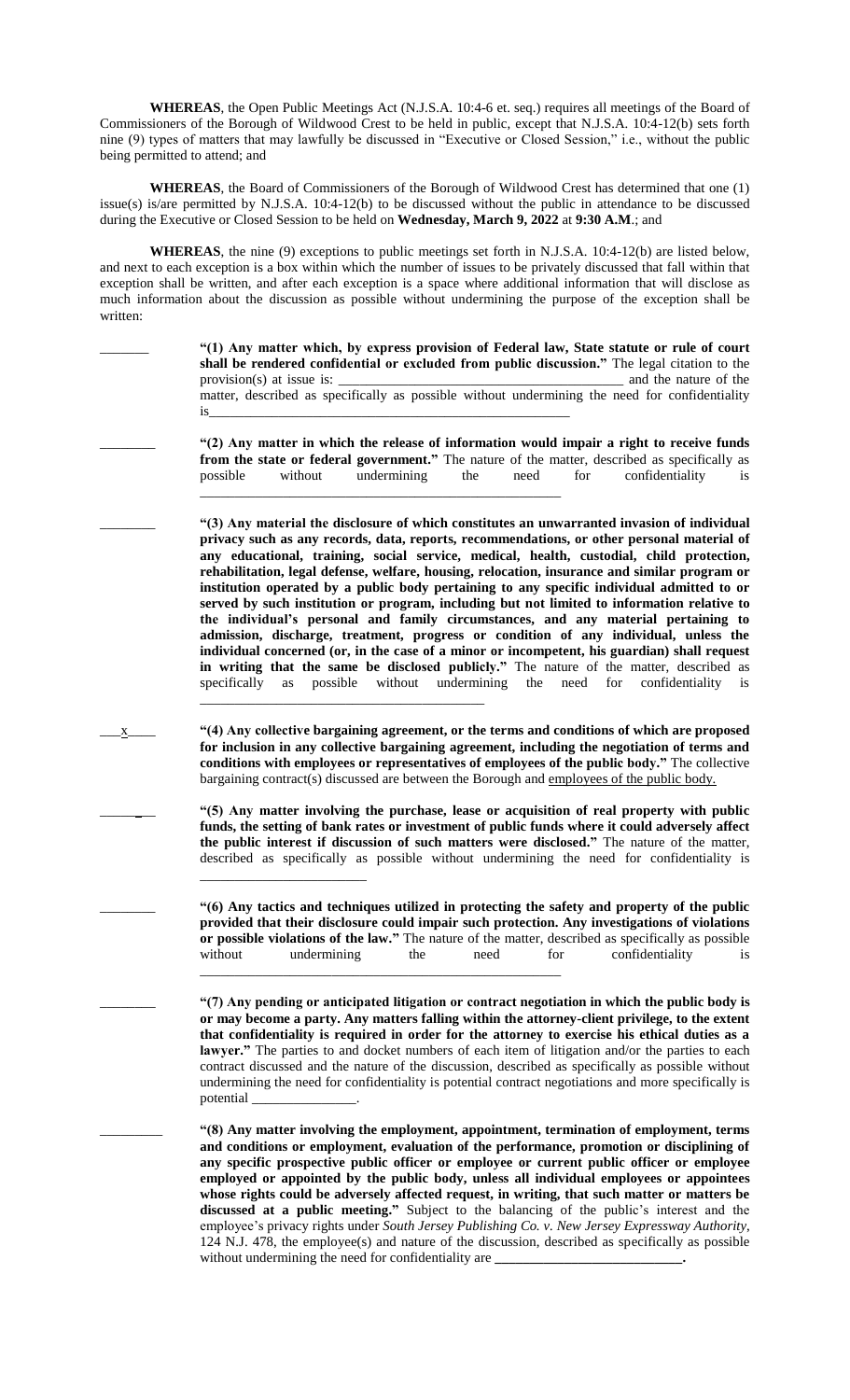**WHEREAS**, the Open Public Meetings Act (N.J.S.A. 10:4-6 et. seq.) requires all meetings of the Board of Commissioners of the Borough of Wildwood Crest to be held in public, except that N.J.S.A. 10:4-12(b) sets forth nine (9) types of matters that may lawfully be discussed in "Executive or Closed Session," i.e., without the public being permitted to attend; and

**WHEREAS**, the Board of Commissioners of the Borough of Wildwood Crest has determined that one (1) issue(s) is/are permitted by N.J.S.A. 10:4-12(b) to be discussed without the public in attendance to be discussed during the Executive or Closed Session to be held on **Wednesday, March 9, 2022** at **9:30 A.M**.; and

**WHEREAS**, the nine (9) exceptions to public meetings set forth in N.J.S.A. 10:4-12(b) are listed below, and next to each exception is a box within which the number of issues to be privately discussed that fall within that exception shall be written, and after each exception is a space where additional information that will disclose as much information about the discussion as possible without undermining the purpose of the exception shall be written:

> \_\_\_\_\_\_\_ **"(1) Any matter which, by express provision of Federal law, State statute or rule of court shall be rendered confidential or excluded from public discussion."** The legal citation to the provision(s) at issue is: \_\_\_\_\_\_\_\_\_\_\_\_\_\_\_\_\_\_\_\_\_\_\_\_\_\_\_\_\_\_\_\_\_\_\_\_\_\_\_\_\_ and the nature of the matter, described as specifically as possible without undermining the need for confidentiality is\_\_\_\_\_\_\_\_\_\_\_\_\_\_\_\_\_\_\_\_\_\_\_\_\_\_\_\_\_\_\_\_\_\_\_\_\_\_\_\_\_\_\_\_\_\_\_\_\_\_\_\_

\_\_\_\_\_\_\_\_ **"(2) Any matter in which the release of information would impair a right to receive funds from the state or federal government."** The nature of the matter, described as specifically as possible without undermining the need for confidentiality is \_\_\_\_\_\_\_\_\_\_\_\_\_\_\_\_\_\_\_\_\_\_\_\_\_\_\_\_\_\_\_\_\_\_\_\_\_\_\_\_\_\_\_\_\_\_\_\_\_\_\_\_

\_\_\_\_\_\_\_\_ **"(3) Any material the disclosure of which constitutes an unwarranted invasion of individual privacy such as any records, data, reports, recommendations, or other personal material of any educational, training, social service, medical, health, custodial, child protection, rehabilitation, legal defense, welfare, housing, relocation, insurance and similar program or institution operated by a public body pertaining to any specific individual admitted to or served by such institution or program, including but not limited to information relative to the individual's personal and family circumstances, and any material pertaining to admission, discharge, treatment, progress or condition of any individual, unless the individual concerned (or, in the case of a minor or incompetent, his guardian) shall request in writing that the same be disclosed publicly."** The nature of the matter, described as specifically as possible without undermining the need for confidentiality is \_\_\_\_\_\_\_\_\_\_\_\_\_\_\_\_\_\_\_\_\_\_\_\_\_\_\_\_\_\_\_\_\_\_\_\_\_\_\_\_\_

\_\_\_x\_\_\_\_ **"(4) Any collective bargaining agreement, or the terms and conditions of which are proposed for inclusion in any collective bargaining agreement, including the negotiation of terms and conditions with employees or representatives of employees of the public body."** The collective bargaining contract(s) discussed are between the Borough and employees of the public body.

> \_\_\_\_\_\_\_\_ **"(5) Any matter involving the purchase, lease or acquisition of real property with public funds, the setting of bank rates or investment of public funds where it could adversely affect the public interest if discussion of such matters were disclosed."** The nature of the matter, described as specifically as possible without undermining the need for confidentiality is \_\_\_\_\_\_\_\_\_\_\_\_\_\_\_\_\_\_\_\_\_\_\_\_

> \_\_\_\_\_\_\_\_ **"(6) Any tactics and techniques utilized in protecting the safety and property of the public provided that their disclosure could impair such protection. Any investigations of violations or possible violations of the law."** The nature of the matter, described as specifically as possible without undermining the need for confidentiality is \_\_\_\_\_\_\_\_\_\_\_\_\_\_\_\_\_\_\_\_\_\_\_\_\_\_\_\_\_\_\_\_\_\_\_\_\_\_\_\_\_\_\_\_\_\_\_\_\_\_\_\_

> \_\_\_\_\_\_\_\_ **"(7) Any pending or anticipated litigation or contract negotiation in which the public body is or may become a party. Any matters falling within the attorney-client privilege, to the extent that confidentiality is required in order for the attorney to exercise his ethical duties as a**  lawyer." The parties to and docket numbers of each item of litigation and/or the parties to each contract discussed and the nature of the discussion, described as specifically as possible without undermining the need for confidentiality is potential contract negotiations and more specifically is potential \_\_\_\_\_\_\_\_\_\_\_\_\_\_\_.

> \_\_\_\_\_\_\_\_\_ **"(8) Any matter involving the employment, appointment, termination of employment, terms and conditions or employment, evaluation of the performance, promotion or disciplining of any specific prospective public officer or employee or current public officer or employee employed or appointed by the public body, unless all individual employees or appointees whose rights could be adversely affected request, in writing, that such matter or matters be discussed at a public meeting."** Subject to the balancing of the public's interest and the employee's privacy rights under *South Jersey Publishing Co. v. New Jersey Expressway Authority*, 124 N.J. 478, the employee(s) and nature of the discussion, described as specifically as possible without undermining the need for confidentiality are \_